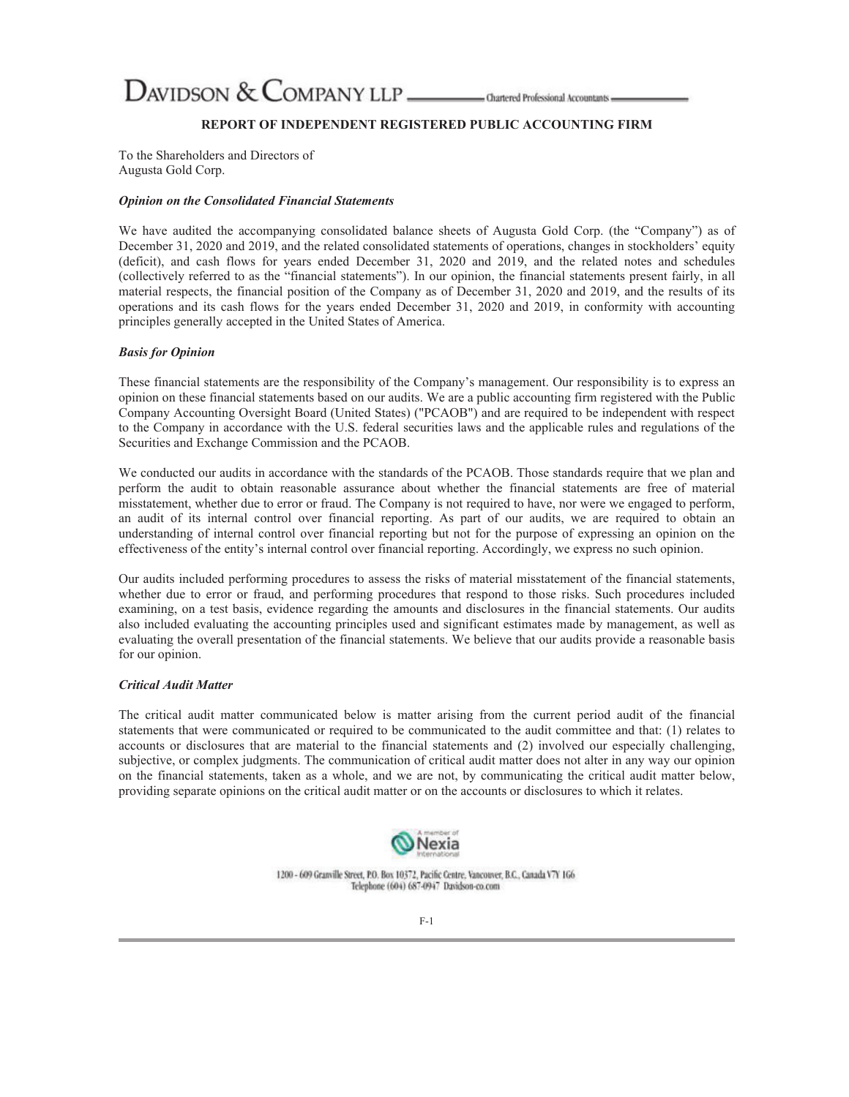DAVIDSON & COMPANY LLP \_\_\_\_\_\_\_\_\_\_ Chartered Professional Accountants =

# **REPORT OF INDEPENDENT REGISTERED PUBLIC ACCOUNTING FIRM**

To the Shareholders and Directors of Augusta Gold Corp.

#### *Opinion on the Consolidated Financial Statements*

We have audited the accompanying consolidated balance sheets of Augusta Gold Corp. (the "Company") as of December 31, 2020 and 2019, and the related consolidated statements of operations, changes in stockholders' equity (deficit), and cash flows for years ended December 31, 2020 and 2019, and the related notes and schedules (collectively referred to as the "financial statements"). In our opinion, the financial statements present fairly, in all material respects, the financial position of the Company as of December 31, 2020 and 2019, and the results of its operations and its cash flows for the years ended December 31, 2020 and 2019, in conformity with accounting principles generally accepted in the United States of America.

#### *Basis for Opinion*

These financial statements are the responsibility of the Company's management. Our responsibility is to express an opinion on these financial statements based on our audits. We are a public accounting firm registered with the Public Company Accounting Oversight Board (United States) ("PCAOB") and are required to be independent with respect to the Company in accordance with the U.S. federal securities laws and the applicable rules and regulations of the Securities and Exchange Commission and the PCAOB.

We conducted our audits in accordance with the standards of the PCAOB. Those standards require that we plan and perform the audit to obtain reasonable assurance about whether the financial statements are free of material misstatement, whether due to error or fraud. The Company is not required to have, nor were we engaged to perform, an audit of its internal control over financial reporting. As part of our audits, we are required to obtain an understanding of internal control over financial reporting but not for the purpose of expressing an opinion on the effectiveness of the entity's internal control over financial reporting. Accordingly, we express no such opinion.

Our audits included performing procedures to assess the risks of material misstatement of the financial statements, whether due to error or fraud, and performing procedures that respond to those risks. Such procedures included examining, on a test basis, evidence regarding the amounts and disclosures in the financial statements. Our audits also included evaluating the accounting principles used and significant estimates made by management, as well as evaluating the overall presentation of the financial statements. We believe that our audits provide a reasonable basis for our opinion.

## *Critical Audit Matter*

The critical audit matter communicated below is matter arising from the current period audit of the financial statements that were communicated or required to be communicated to the audit committee and that: (1) relates to accounts or disclosures that are material to the financial statements and (2) involved our especially challenging, subjective, or complex judgments. The communication of critical audit matter does not alter in any way our opinion on the financial statements, taken as a whole, and we are not, by communicating the critical audit matter below, providing separate opinions on the critical audit matter or on the accounts or disclosures to which it relates.



1200 - 609 Granville Street, P.O. Box 10372, Pacific Centre, Vancouver, B.C., Canada V7Y 1G6 Telephone (604) 687-0947 Davidson-co.com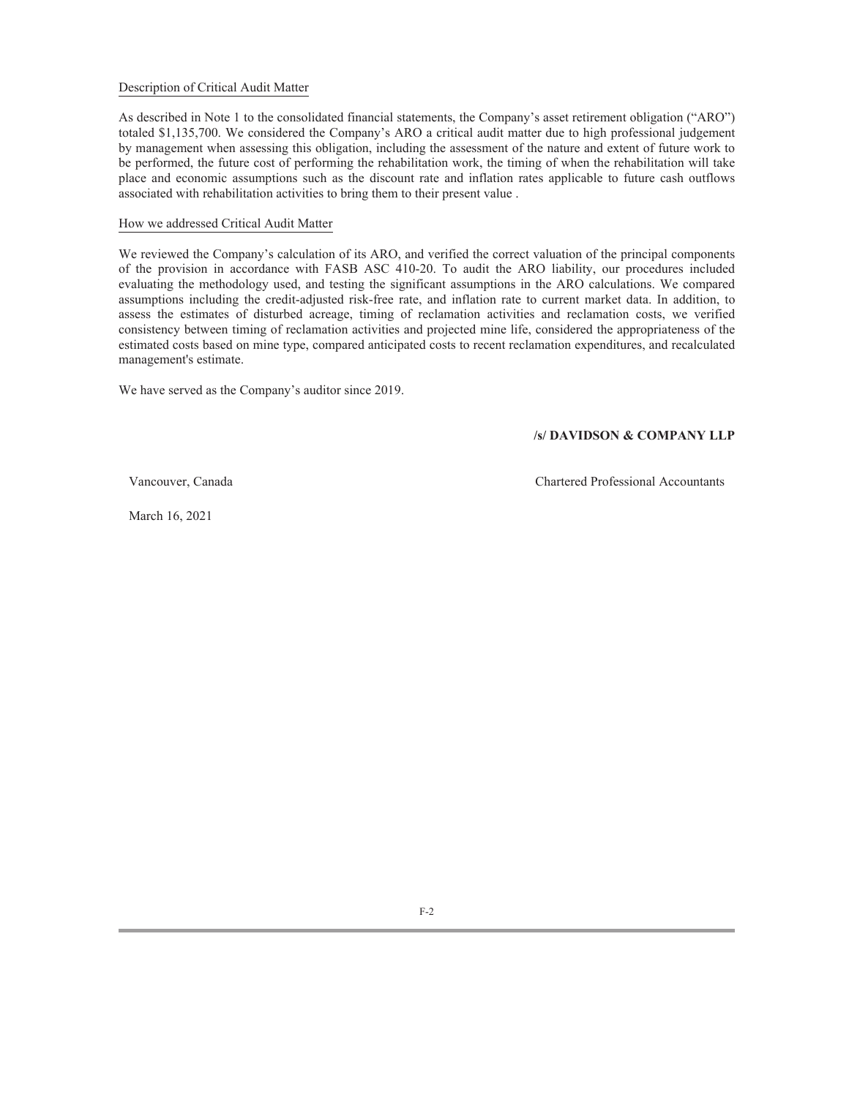## Description of Critical Audit Matter

As described in Note 1 to the consolidated financial statements, the Company's asset retirement obligation ("ARO") totaled \$1,135,700. We considered the Company's ARO a critical audit matter due to high professional judgement by management when assessing this obligation, including the assessment of the nature and extent of future work to be performed, the future cost of performing the rehabilitation work, the timing of when the rehabilitation will take place and economic assumptions such as the discount rate and inflation rates applicable to future cash outflows associated with rehabilitation activities to bring them to their present value .

### How we addressed Critical Audit Matter

We reviewed the Company's calculation of its ARO, and verified the correct valuation of the principal components of the provision in accordance with FASB ASC 410-20. To audit the ARO liability, our procedures included evaluating the methodology used, and testing the significant assumptions in the ARO calculations. We compared assumptions including the credit-adjusted risk-free rate, and inflation rate to current market data. In addition, to assess the estimates of disturbed acreage, timing of reclamation activities and reclamation costs, we verified consistency between timing of reclamation activities and projected mine life, considered the appropriateness of the estimated costs based on mine type, compared anticipated costs to recent reclamation expenditures, and recalculated management's estimate.

We have served as the Company's auditor since 2019.

## **/s/ DAVIDSON & COMPANY LLP**

Vancouver, Canada Chartered Professional Accountants

March 16, 2021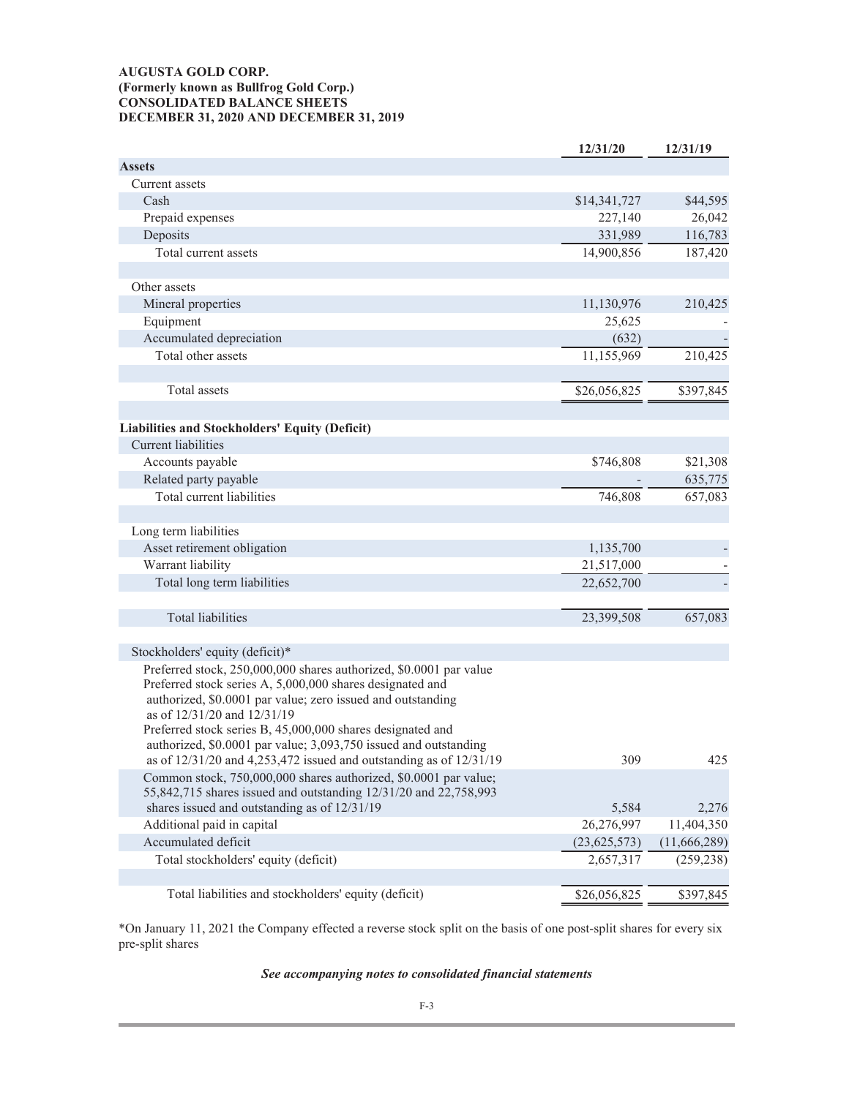# **AUGUSTA GOLD CORP. (Formerly known as Bullfrog Gold Corp.) CONSOLIDATED BALANCE SHEETS DECEMBER 31, 2020 AND DECEMBER 31, 2019**

|                                                                                                                                      | 12/31/20       | 12/31/19     |
|--------------------------------------------------------------------------------------------------------------------------------------|----------------|--------------|
| <b>Assets</b>                                                                                                                        |                |              |
| Current assets                                                                                                                       |                |              |
| Cash                                                                                                                                 | \$14,341,727   | \$44,595     |
| Prepaid expenses                                                                                                                     | 227,140        | 26,042       |
| Deposits                                                                                                                             | 331,989        | 116,783      |
| Total current assets                                                                                                                 | 14,900,856     | 187,420      |
|                                                                                                                                      |                |              |
| Other assets                                                                                                                         |                |              |
| Mineral properties                                                                                                                   | 11,130,976     | 210,425      |
| Equipment                                                                                                                            | 25,625         |              |
| Accumulated depreciation                                                                                                             | (632)          |              |
| Total other assets                                                                                                                   | 11,155,969     | 210,425      |
|                                                                                                                                      |                |              |
| Total assets                                                                                                                         | \$26,056,825   | \$397,845    |
|                                                                                                                                      |                |              |
| Liabilities and Stockholders' Equity (Deficit)                                                                                       |                |              |
| <b>Current liabilities</b>                                                                                                           |                |              |
| Accounts payable                                                                                                                     | \$746,808      | \$21,308     |
| Related party payable                                                                                                                |                | 635,775      |
| Total current liabilities                                                                                                            | 746,808        | 657,083      |
|                                                                                                                                      |                |              |
| Long term liabilities                                                                                                                |                |              |
| Asset retirement obligation                                                                                                          | 1,135,700      |              |
| Warrant liability                                                                                                                    | 21,517,000     |              |
| Total long term liabilities                                                                                                          | 22,652,700     |              |
|                                                                                                                                      |                |              |
| <b>Total liabilities</b>                                                                                                             | 23,399,508     | 657,083      |
|                                                                                                                                      |                |              |
| Stockholders' equity (deficit)*                                                                                                      |                |              |
| Preferred stock, 250,000,000 shares authorized, \$0.0001 par value                                                                   |                |              |
| Preferred stock series A, 5,000,000 shares designated and                                                                            |                |              |
| authorized, \$0.0001 par value; zero issued and outstanding                                                                          |                |              |
| as of 12/31/20 and 12/31/19                                                                                                          |                |              |
| Preferred stock series B, 45,000,000 shares designated and                                                                           |                |              |
| authorized, \$0.0001 par value; 3,093,750 issued and outstanding                                                                     |                |              |
| as of $12/31/20$ and $4,253,472$ issued and outstanding as of $12/31/19$                                                             | 309            | 425          |
| Common stock, 750,000,000 shares authorized, \$0.0001 par value;<br>55,842,715 shares issued and outstanding 12/31/20 and 22,758,993 |                |              |
| shares issued and outstanding as of 12/31/19                                                                                         | 5,584          | 2,276        |
| Additional paid in capital                                                                                                           | 26,276,997     | 11,404,350   |
| Accumulated deficit                                                                                                                  | (23, 625, 573) | (11,666,289) |
| Total stockholders' equity (deficit)                                                                                                 | 2,657,317      | (259, 238)   |
|                                                                                                                                      |                |              |
| Total liabilities and stockholders' equity (deficit)                                                                                 | \$26,056,825   | \$397,845    |
|                                                                                                                                      |                |              |

\*On January 11, 2021 the Company effected a reverse stock split on the basis of one post-split shares for every six pre-split shares

## *See accompanying notes to consolidated financial statements*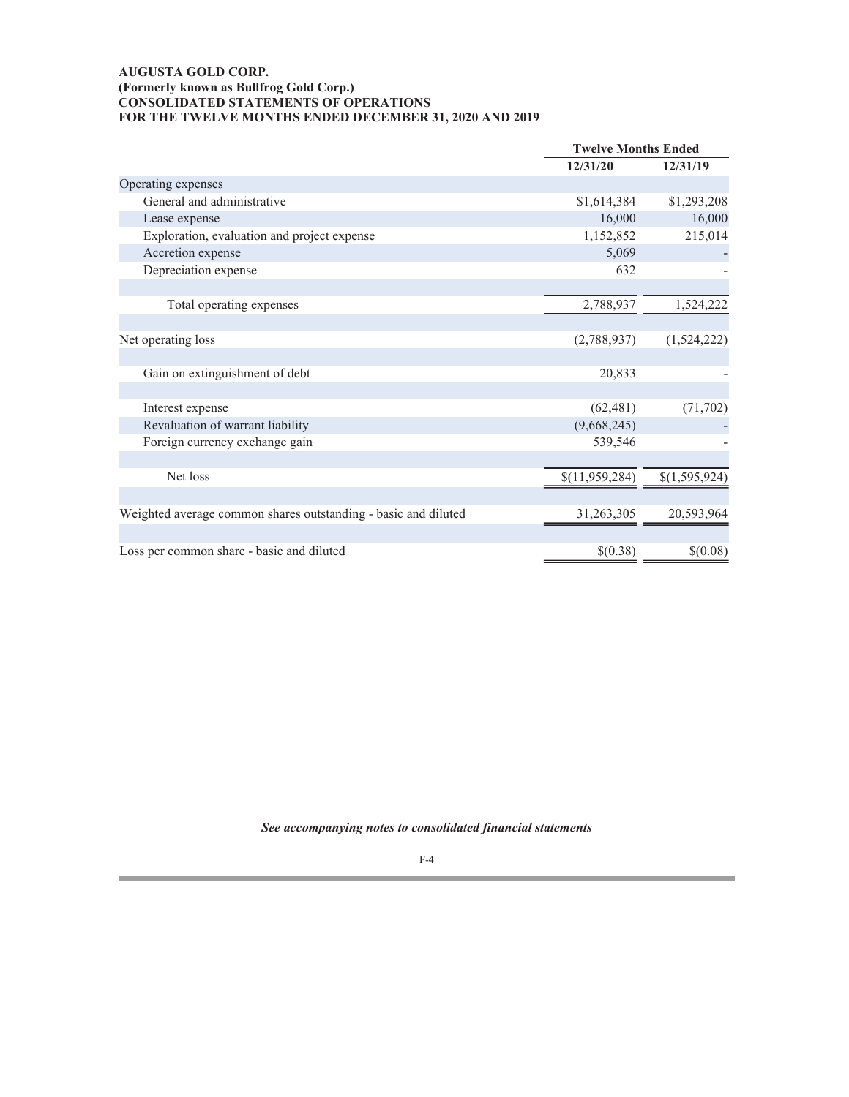## **AUGUSTA GOLD CORP. (Formerly known as Bullfrog Gold Corp.) CONSOLIDATED STATEMENTS OF OPERATIONS FOR THE TWELVE MONTHS ENDED DECEMBER 31, 2020 AND 2019**

|                                                                | <b>Twelve Months Ended</b> |               |
|----------------------------------------------------------------|----------------------------|---------------|
|                                                                | 12/31/20                   | 12/31/19      |
| Operating expenses                                             |                            |               |
| General and administrative                                     | \$1,614,384                | \$1,293,208   |
| Lease expense                                                  | 16,000                     | 16,000        |
| Exploration, evaluation and project expense                    | 1,152,852                  | 215,014       |
| Accretion expense                                              | 5,069                      |               |
| Depreciation expense                                           | 632                        |               |
|                                                                |                            |               |
| Total operating expenses                                       | 2,788,937                  | 1,524,222     |
|                                                                |                            |               |
| Net operating loss                                             | (2,788,937)                | (1,524,222)   |
|                                                                |                            |               |
| Gain on extinguishment of debt                                 | 20,833                     |               |
|                                                                |                            |               |
| Interest expense                                               | (62, 481)                  | (71, 702)     |
| Revaluation of warrant liability                               | (9,668,245)                |               |
| Foreign currency exchange gain                                 | 539,546                    |               |
|                                                                |                            |               |
| Net loss                                                       | \$(11,959,284)             | \$(1,595,924) |
|                                                                |                            |               |
| Weighted average common shares outstanding - basic and diluted | 31,263,305                 | 20,593,964    |
|                                                                |                            |               |
| Loss per common share - basic and diluted                      | \$(0.38)                   | \$(0.08)      |
|                                                                |                            |               |

*See accompanying notes to consolidated financial statements*

F-4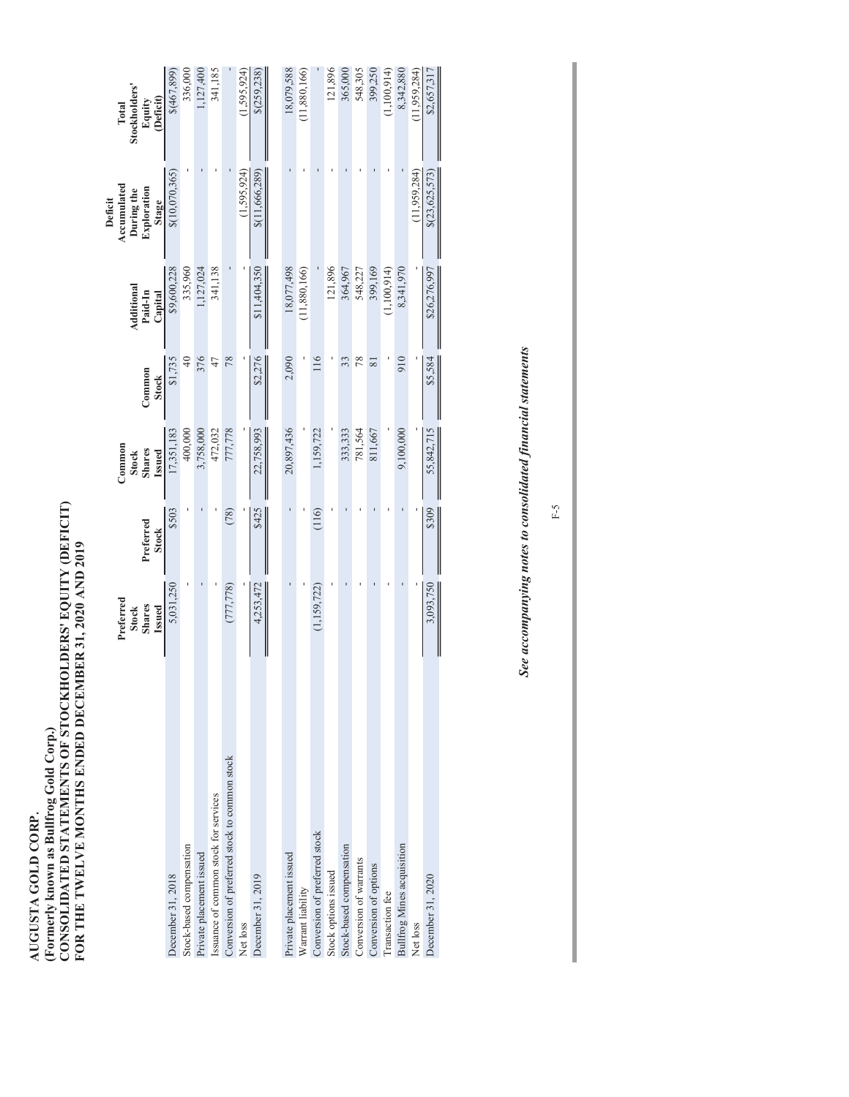AUGUSTA GOLD CORP.<br>(Formerly known as Bullfrog Gold Corp.)<br>CONSOLIDATED STATEMENTS OF STOCKHOLDERS' EQUITY (DEFICIT)<br>FOR THE TWELVE MONTHS ENDED DECEMBER 31, 2020 AND 2019 **CONSOLIDATED STATEMENTS OF STOCKHOLDERS' EQUITY (DEFICIT) FOR THE TWELVE MONTHS ENDED DECEMBER 31, 2020 AND 2019 (Formerly known as Bullfrog Gold Corp.) AUGUSTA GOLD CORP.**

|                                               | Preferred<br><b>Shares</b><br><b>Issued</b><br><b>Stock</b> | Preferred<br><b>Stock</b> | Common<br><b>Shares</b><br><b>Issued</b><br><b>Stock</b> | Common<br><b>Stock</b> | Additional<br>Paid-In<br>Capital | Accumulated<br>Exploration<br>During the<br>Deficit<br>Stage | Stockholders'<br>(Deficit)<br>Equity<br>Total |
|-----------------------------------------------|-------------------------------------------------------------|---------------------------|----------------------------------------------------------|------------------------|----------------------------------|--------------------------------------------------------------|-----------------------------------------------|
| December 31, 2018                             | 5,031,250                                                   | \$503                     | 17,351,183                                               | \$1,735                | \$9,600,228                      | \$(10,070,365)                                               | \$(467,899)                                   |
| Stock-based compensation                      |                                                             |                           | 400,000                                                  | $\overline{40}$        | 335,960                          |                                                              | 336,000                                       |
| Private placement issued                      |                                                             |                           | 3,758,000                                                | 376                    | 1,127,024                        |                                                              | 1,127,400                                     |
| Issuance of common stock for services         |                                                             |                           | 472,032                                                  | 47                     | 341,138                          |                                                              | 341,185                                       |
| Conversion of preferred stock to common stock | (777,778)                                                   | (78)                      | 777,778                                                  | 78                     |                                  |                                                              |                                               |
| Net loss                                      |                                                             |                           |                                                          |                        |                                  | (1,595,924)                                                  | (1,595,924)                                   |
| December 31, 2019                             | 4,253,472                                                   | \$425                     | 22,758,993                                               | \$2,276                | \$11,404,350                     | \$(11,666,289)                                               | \$(259, 238)                                  |
|                                               |                                                             |                           |                                                          |                        |                                  |                                                              |                                               |
| Private placement issued                      |                                                             |                           | 20,897,436                                               | 2,090                  | 18,077,498                       |                                                              | 18,079,588                                    |
| Warrant liability                             |                                                             |                           |                                                          |                        | (11,880,166)                     |                                                              | (11,880,166)                                  |
| Conversion of preferred stock                 | (1, 159, 722)                                               | (116)                     | 1,159,722                                                | 116                    |                                  |                                                              |                                               |
| Stock options issued                          |                                                             |                           |                                                          |                        | 121,896                          |                                                              | 121,896                                       |
| Stock-based compensation                      |                                                             |                           | 333,333                                                  | 33                     | 364,967                          |                                                              | 365,000                                       |
| Conversion of warrants                        |                                                             |                           | 781,564                                                  | 78                     | 548,227                          |                                                              | 548,305                                       |
| Conversion of options                         |                                                             |                           | 811,667                                                  | $\approx$              | 399,169                          |                                                              | 399,250                                       |
| Transaction fee                               |                                                             |                           |                                                          |                        | (1,100,914)                      |                                                              | (1,100,914)                                   |
| <b>Bullfrog Mines acquisition</b>             |                                                             |                           | 9,100,000                                                | 910                    | 8,341,970                        |                                                              | 8,342,880                                     |
| Net loss                                      |                                                             |                           |                                                          |                        |                                  | (11, 959, 284)                                               | (11,959,284)                                  |
| December 31, 2020                             | 3,093,750                                                   | \$309                     | 55,842,715                                               | \$5,584                | \$26,276,997                     | \$(23,625,573)                                               | \$2,657,317                                   |
|                                               |                                                             |                           |                                                          |                        |                                  |                                                              |                                               |

See accompanying notes to consolidated financial statements *See accompanying notes to consolidated financial statements*

F-5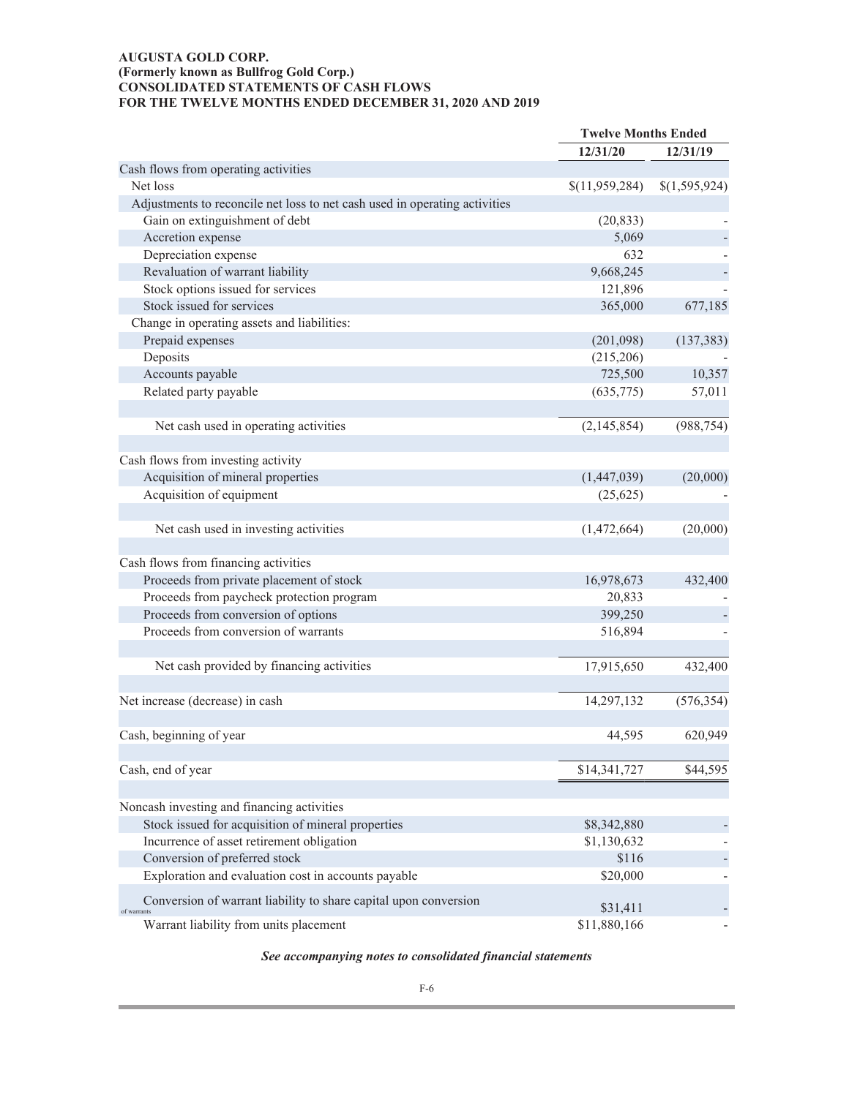# **AUGUSTA GOLD CORP. (Formerly known as Bullfrog Gold Corp.) CONSOLIDATED STATEMENTS OF CASH FLOWS** FOR THE TWELVE MONTHS ENDED DECEMBER 31, 2020 AND 2019

|                                                                                 | <b>Twelve Months Ended</b> |               |
|---------------------------------------------------------------------------------|----------------------------|---------------|
|                                                                                 | 12/31/20                   | 12/31/19      |
| Cash flows from operating activities                                            |                            |               |
| Net loss                                                                        | \$(11,959,284)             | \$(1,595,924) |
| Adjustments to reconcile net loss to net cash used in operating activities      |                            |               |
| Gain on extinguishment of debt                                                  | (20, 833)                  |               |
| Accretion expense                                                               | 5,069                      |               |
| Depreciation expense                                                            | 632                        |               |
| Revaluation of warrant liability                                                | 9,668,245                  |               |
| Stock options issued for services                                               | 121,896                    |               |
| Stock issued for services                                                       | 365,000                    | 677,185       |
| Change in operating assets and liabilities:                                     |                            |               |
| Prepaid expenses                                                                | (201,098)                  | (137, 383)    |
| Deposits                                                                        | (215,206)                  |               |
| Accounts payable                                                                | 725,500                    | 10,357        |
| Related party payable                                                           | (635, 775)                 | 57,011        |
|                                                                                 |                            |               |
| Net cash used in operating activities                                           | (2,145,854)                | (988, 754)    |
|                                                                                 |                            |               |
| Cash flows from investing activity                                              |                            |               |
| Acquisition of mineral properties                                               | (1,447,039)                | (20,000)      |
| Acquisition of equipment                                                        | (25, 625)                  |               |
|                                                                                 |                            |               |
| Net cash used in investing activities                                           | (1,472,664)                | (20,000)      |
|                                                                                 |                            |               |
| Cash flows from financing activities                                            |                            |               |
| Proceeds from private placement of stock                                        | 16,978,673                 | 432,400       |
| Proceeds from paycheck protection program                                       | 20,833                     |               |
| Proceeds from conversion of options                                             | 399,250                    |               |
| Proceeds from conversion of warrants                                            | 516,894                    |               |
|                                                                                 |                            |               |
|                                                                                 |                            |               |
| Net cash provided by financing activities                                       | 17,915,650                 | 432,400       |
|                                                                                 |                            |               |
| Net increase (decrease) in cash                                                 | 14,297,132                 | (576, 354)    |
|                                                                                 |                            |               |
| Cash, beginning of year                                                         | 44,595                     | 620,949       |
|                                                                                 |                            |               |
| Cash, end of year                                                               | \$14,341,727               | \$44,595      |
|                                                                                 |                            |               |
| Noncash investing and financing activities                                      |                            |               |
| Stock issued for acquisition of mineral properties                              | \$8,342,880                |               |
| Incurrence of asset retirement obligation                                       | \$1,130,632                |               |
| Conversion of preferred stock                                                   | \$116                      |               |
| Exploration and evaluation cost in accounts payable                             | \$20,000                   |               |
|                                                                                 |                            |               |
| Conversion of warrant liability to share capital upon conversion<br>of warrants | \$31,411                   |               |
| Warrant liability from units placement                                          | \$11,880,166               |               |

# *See accompanying notes to consolidated financial statements*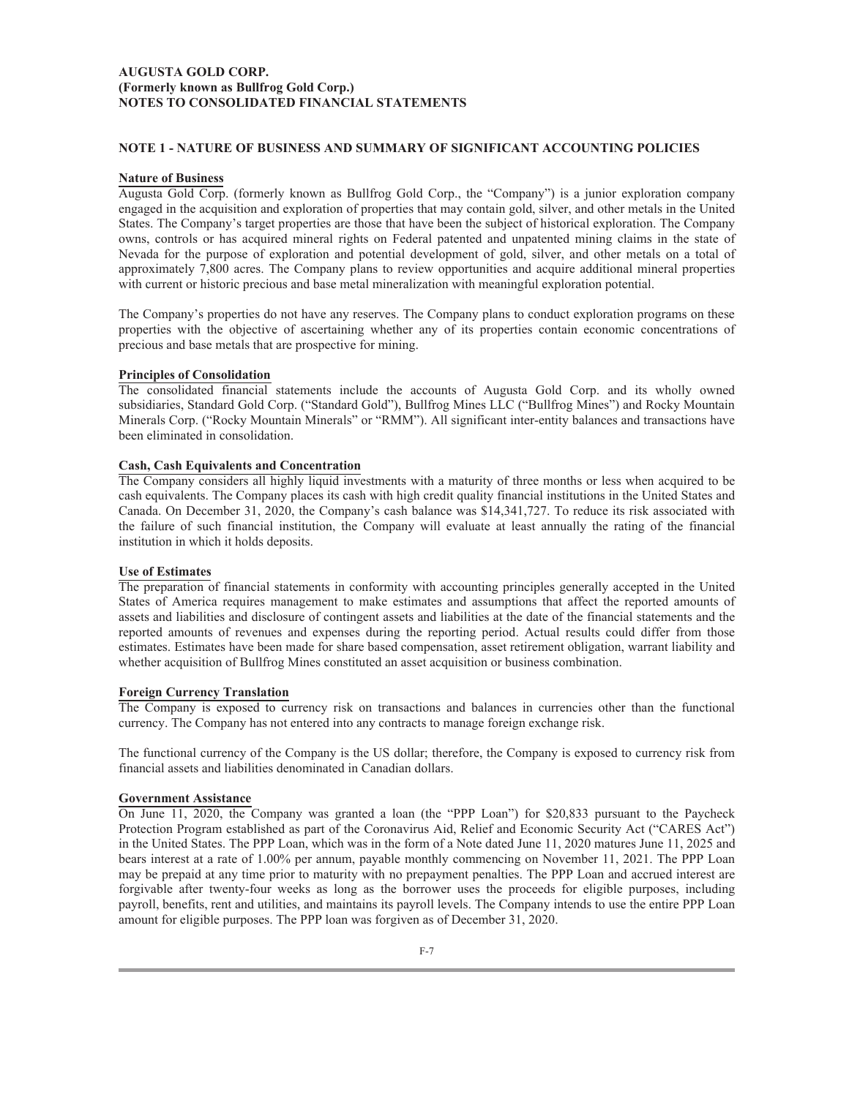## **AUGUSTA GOLD CORP. (Formerly known as Bullfrog Gold Corp.) NOTES TO CONSOLIDATED FINANCIAL STATEMENTS**

## **NOTE 1 - NATURE OF BUSINESS AND SUMMARY OF SIGNIFICANT ACCOUNTING POLICIES**

### **Nature of Business**

Augusta Gold Corp. (formerly known as Bullfrog Gold Corp., the "Company") is a junior exploration company engaged in the acquisition and exploration of properties that may contain gold, silver, and other metals in the United States. The Company's target properties are those that have been the subject of historical exploration. The Company owns, controls or has acquired mineral rights on Federal patented and unpatented mining claims in the state of Nevada for the purpose of exploration and potential development of gold, silver, and other metals on a total of approximately 7,800 acres. The Company plans to review opportunities and acquire additional mineral properties with current or historic precious and base metal mineralization with meaningful exploration potential.

The Company's properties do not have any reserves. The Company plans to conduct exploration programs on these properties with the objective of ascertaining whether any of its properties contain economic concentrations of precious and base metals that are prospective for mining.

### **Principles of Consolidation**

The consolidated financial statements include the accounts of Augusta Gold Corp. and its wholly owned subsidiaries, Standard Gold Corp. ("Standard Gold"), Bullfrog Mines LLC ("Bullfrog Mines") and Rocky Mountain Minerals Corp. ("Rocky Mountain Minerals" or "RMM"). All significant inter-entity balances and transactions have been eliminated in consolidation.

## **Cash, Cash Equivalents and Concentration**

The Company considers all highly liquid investments with a maturity of three months or less when acquired to be cash equivalents. The Company places its cash with high credit quality financial institutions in the United States and Canada. On December 31, 2020, the Company's cash balance was \$14,341,727. To reduce its risk associated with the failure of such financial institution, the Company will evaluate at least annually the rating of the financial institution in which it holds deposits.

#### **Use of Estimates**

The preparation of financial statements in conformity with accounting principles generally accepted in the United States of America requires management to make estimates and assumptions that affect the reported amounts of assets and liabilities and disclosure of contingent assets and liabilities at the date of the financial statements and the reported amounts of revenues and expenses during the reporting period. Actual results could differ from those estimates. Estimates have been made for share based compensation, asset retirement obligation, warrant liability and whether acquisition of Bullfrog Mines constituted an asset acquisition or business combination.

## **Foreign Currency Translation**

The Company is exposed to currency risk on transactions and balances in currencies other than the functional currency. The Company has not entered into any contracts to manage foreign exchange risk.

The functional currency of the Company is the US dollar; therefore, the Company is exposed to currency risk from financial assets and liabilities denominated in Canadian dollars.

#### **Government Assistance**

On June 11, 2020, the Company was granted a loan (the "PPP Loan") for \$20,833 pursuant to the Paycheck Protection Program established as part of the Coronavirus Aid, Relief and Economic Security Act ("CARES Act") in the United States. The PPP Loan, which was in the form of a Note dated June 11, 2020 matures June 11, 2025 and bears interest at a rate of 1.00% per annum, payable monthly commencing on November 11, 2021. The PPP Loan may be prepaid at any time prior to maturity with no prepayment penalties. The PPP Loan and accrued interest are forgivable after twenty-four weeks as long as the borrower uses the proceeds for eligible purposes, including payroll, benefits, rent and utilities, and maintains its payroll levels. The Company intends to use the entire PPP Loan amount for eligible purposes. The PPP loan was forgiven as of December 31, 2020.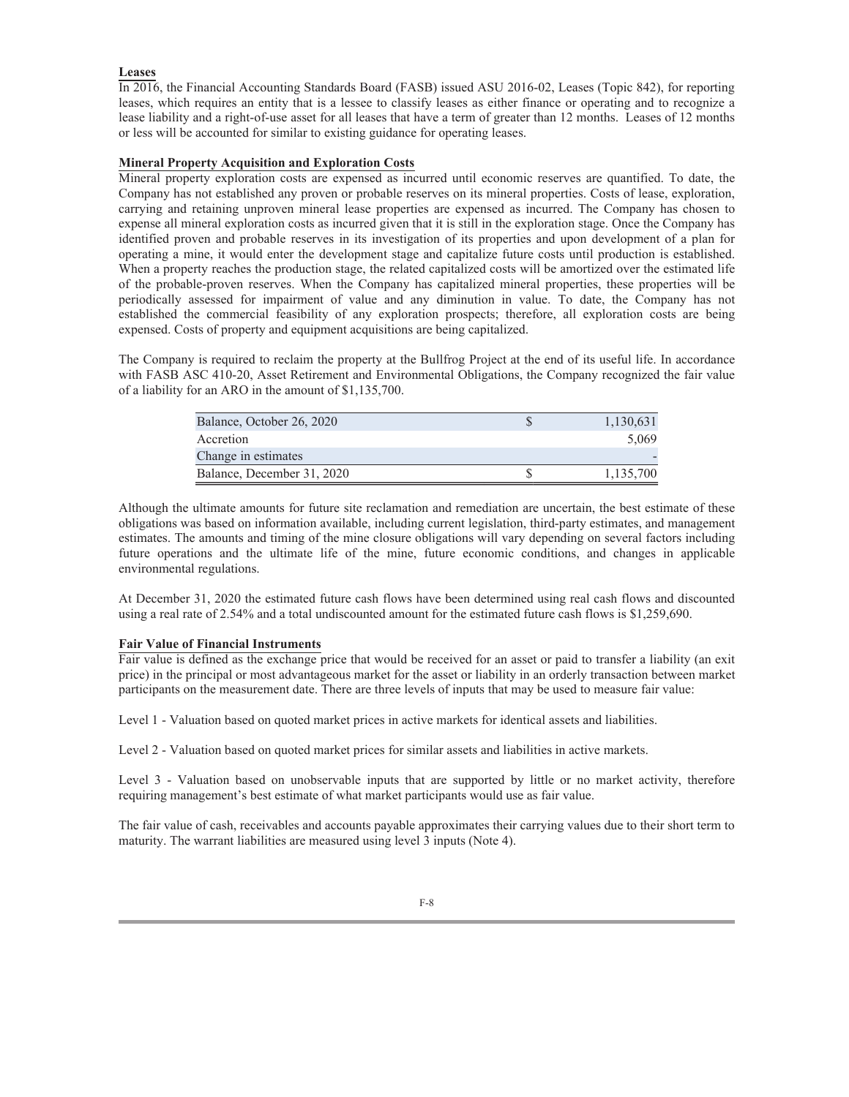## **Leases**

In 2016, the Financial Accounting Standards Board (FASB) issued ASU 2016-02, Leases (Topic 842), for reporting leases, which requires an entity that is a lessee to classify leases as either finance or operating and to recognize a lease liability and a right-of-use asset for all leases that have a term of greater than 12 months. Leases of 12 months or less will be accounted for similar to existing guidance for operating leases.

## **Mineral Property Acquisition and Exploration Costs**

Mineral property exploration costs are expensed as incurred until economic reserves are quantified. To date, the Company has not established any proven or probable reserves on its mineral properties. Costs of lease, exploration, carrying and retaining unproven mineral lease properties are expensed as incurred. The Company has chosen to expense all mineral exploration costs as incurred given that it is still in the exploration stage. Once the Company has identified proven and probable reserves in its investigation of its properties and upon development of a plan for operating a mine, it would enter the development stage and capitalize future costs until production is established. When a property reaches the production stage, the related capitalized costs will be amortized over the estimated life of the probable-proven reserves. When the Company has capitalized mineral properties, these properties will be periodically assessed for impairment of value and any diminution in value. To date, the Company has not established the commercial feasibility of any exploration prospects; therefore, all exploration costs are being expensed. Costs of property and equipment acquisitions are being capitalized.

The Company is required to reclaim the property at the Bullfrog Project at the end of its useful life. In accordance with FASB ASC 410-20, Asset Retirement and Environmental Obligations, the Company recognized the fair value of a liability for an ARO in the amount of \$1,135,700.

| Balance, October 26, 2020  | 1,130,631 |
|----------------------------|-----------|
| Accretion                  | 5.069     |
| Change in estimates        |           |
| Balance, December 31, 2020 | 1,135,700 |

Although the ultimate amounts for future site reclamation and remediation are uncertain, the best estimate of these obligations was based on information available, including current legislation, third-party estimates, and management estimates. The amounts and timing of the mine closure obligations will vary depending on several factors including future operations and the ultimate life of the mine, future economic conditions, and changes in applicable environmental regulations.

At December 31, 2020 the estimated future cash flows have been determined using real cash flows and discounted using a real rate of 2.54% and a total undiscounted amount for the estimated future cash flows is \$1,259,690.

#### **Fair Value of Financial Instruments**

Fair value is defined as the exchange price that would be received for an asset or paid to transfer a liability (an exit price) in the principal or most advantageous market for the asset or liability in an orderly transaction between market participants on the measurement date. There are three levels of inputs that may be used to measure fair value:

Level 1 - Valuation based on quoted market prices in active markets for identical assets and liabilities.

Level 2 - Valuation based on quoted market prices for similar assets and liabilities in active markets.

Level 3 - Valuation based on unobservable inputs that are supported by little or no market activity, therefore requiring management's best estimate of what market participants would use as fair value.

The fair value of cash, receivables and accounts payable approximates their carrying values due to their short term to maturity. The warrant liabilities are measured using level 3 inputs (Note 4).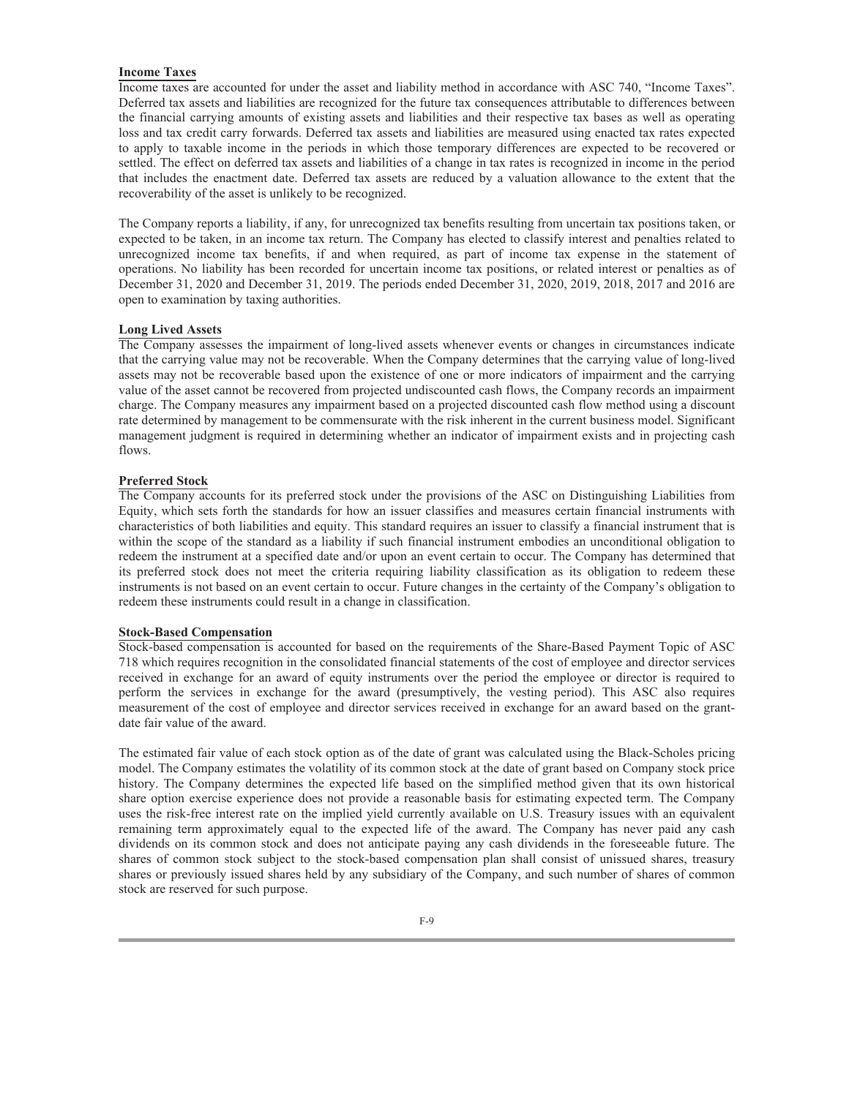#### **Income Taxes**

Income taxes are accounted for under the asset and liability method in accordance with ASC 740, "Income Taxes". Deferred tax assets and liabilities are recognized for the future tax consequences attributable to differences between the financial carrying amounts of existing assets and liabilities and their respective tax bases as well as operating loss and tax credit carry forwards. Deferred tax assets and liabilities are measured using enacted tax rates expected to apply to taxable income in the periods in which those temporary differences are expected to be recovered or settled. The effect on deferred tax assets and liabilities of a change in tax rates is recognized in income in the period that includes the enactment date. Deferred tax assets are reduced by a valuation allowance to the extent that the recoverability of the asset is unlikely to be recognized.

The Company reports a liability, if any, for unrecognized tax benefits resulting from uncertain tax positions taken, or expected to be taken, in an income tax return. The Company has elected to classify interest and penalties related to unrecognized income tax benefits, if and when required, as part of income tax expense in the statement of operations. No liability has been recorded for uncertain income tax positions, or related interest or penalties as of December 31, 2020 and December 31, 2019. The periods ended December 31, 2020, 2019, 2018, 2017 and 2016 are open to examination by taxing authorities.

#### **Long Lived Assets**

The Company assesses the impairment of long-lived assets whenever events or changes in circumstances indicate that the carrying value may not be recoverable. When the Company determines that the carrying value of long-lived assets may not be recoverable based upon the existence of one or more indicators of impairment and the carrying value of the asset cannot be recovered from projected undiscounted cash flows, the Company records an impairment charge. The Company measures any impairment based on a projected discounted cash flow method using a discount rate determined by management to be commensurate with the risk inherent in the current business model. Significant management judgment is required in determining whether an indicator of impairment exists and in projecting cash flows.

### **Preferred Stock**

The Company accounts for its preferred stock under the provisions of the ASC on Distinguishing Liabilities from Equity, which sets forth the standards for how an issuer classifies and measures certain financial instruments with characteristics of both liabilities and equity. This standard requires an issuer to classify a financial instrument that is within the scope of the standard as a liability if such financial instrument embodies an unconditional obligation to redeem the instrument at a specified date and/or upon an event certain to occur. The Company has determined that its preferred stock does not meet the criteria requiring liability classification as its obligation to redeem these instruments is not based on an event certain to occur. Future changes in the certainty of the Company's obligation to redeem these instruments could result in a change in classification.

### **Stock-Based Compensation**

Stock-based compensation is accounted for based on the requirements of the Share-Based Payment Topic of ASC 718 which requires recognition in the consolidated financial statements of the cost of employee and director services received in exchange for an award of equity instruments over the period the employee or director is required to perform the services in exchange for the award (presumptively, the vesting period). This ASC also requires measurement of the cost of employee and director services received in exchange for an award based on the grantdate fair value of the award.

The estimated fair value of each stock option as of the date of grant was calculated using the Black-Scholes pricing model. The Company estimates the volatility of its common stock at the date of grant based on Company stock price history. The Company determines the expected life based on the simplified method given that its own historical share option exercise experience does not provide a reasonable basis for estimating expected term. The Company uses the risk-free interest rate on the implied yield currently available on U.S. Treasury issues with an equivalent remaining term approximately equal to the expected life of the award. The Company has never paid any cash dividends on its common stock and does not anticipate paying any cash dividends in the foreseeable future. The shares of common stock subject to the stock-based compensation plan shall consist of unissued shares, treasury shares or previously issued shares held by any subsidiary of the Company, and such number of shares of common stock are reserved for such purpose.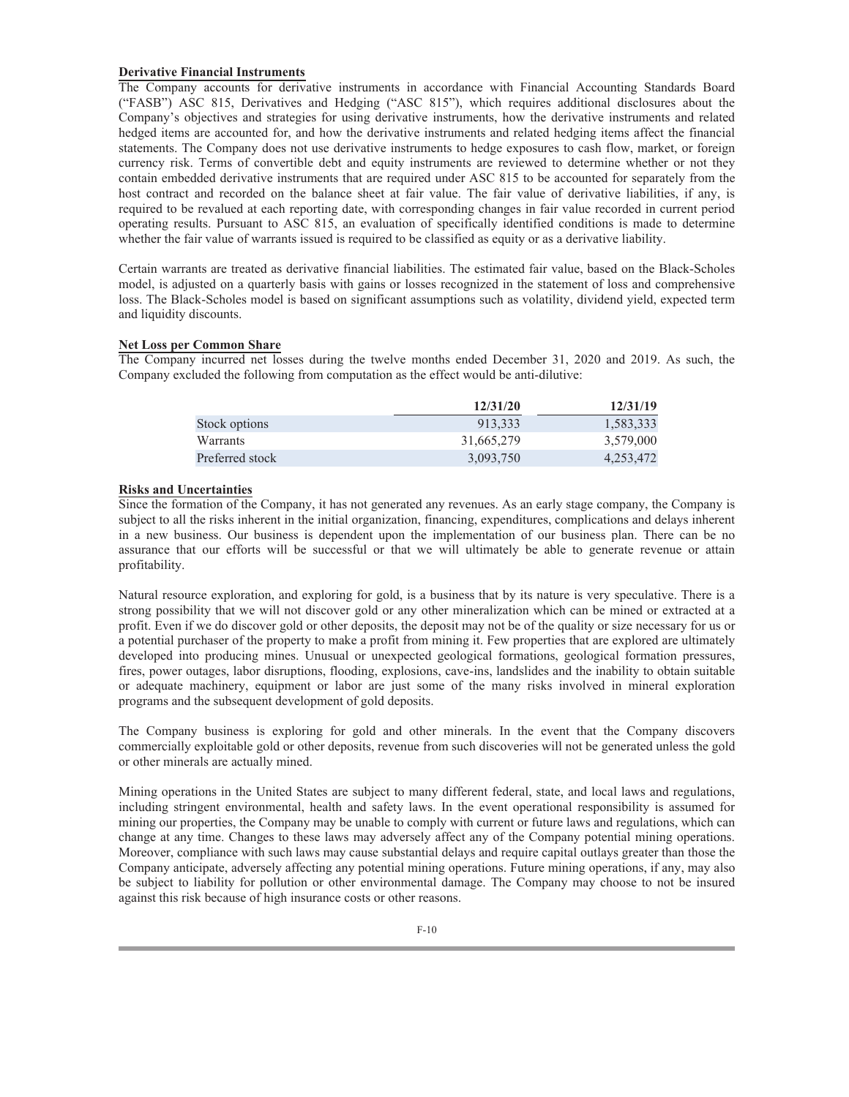### **Derivative Financial Instruments**

The Company accounts for derivative instruments in accordance with Financial Accounting Standards Board ("FASB") ASC 815, Derivatives and Hedging ("ASC 815"), which requires additional disclosures about the Company's objectives and strategies for using derivative instruments, how the derivative instruments and related hedged items are accounted for, and how the derivative instruments and related hedging items affect the financial statements. The Company does not use derivative instruments to hedge exposures to cash flow, market, or foreign currency risk. Terms of convertible debt and equity instruments are reviewed to determine whether or not they contain embedded derivative instruments that are required under ASC 815 to be accounted for separately from the host contract and recorded on the balance sheet at fair value. The fair value of derivative liabilities, if any, is required to be revalued at each reporting date, with corresponding changes in fair value recorded in current period operating results. Pursuant to ASC 815, an evaluation of specifically identified conditions is made to determine whether the fair value of warrants issued is required to be classified as equity or as a derivative liability.

Certain warrants are treated as derivative financial liabilities. The estimated fair value, based on the Black-Scholes model, is adjusted on a quarterly basis with gains or losses recognized in the statement of loss and comprehensive loss. The Black-Scholes model is based on significant assumptions such as volatility, dividend yield, expected term and liquidity discounts.

### **Net Loss per Common Share**

The Company incurred net losses during the twelve months ended December 31, 2020 and 2019. As such, the Company excluded the following from computation as the effect would be anti-dilutive:

|                 | 12/31/20   | 12/31/19  |
|-----------------|------------|-----------|
| Stock options   | 913.333    | 1,583,333 |
| Warrants        | 31,665,279 | 3,579,000 |
| Preferred stock | 3,093,750  | 4,253,472 |

## **Risks and Uncertainties**

Since the formation of the Company, it has not generated any revenues. As an early stage company, the Company is subject to all the risks inherent in the initial organization, financing, expenditures, complications and delays inherent in a new business. Our business is dependent upon the implementation of our business plan. There can be no assurance that our efforts will be successful or that we will ultimately be able to generate revenue or attain profitability.

Natural resource exploration, and exploring for gold, is a business that by its nature is very speculative. There is a strong possibility that we will not discover gold or any other mineralization which can be mined or extracted at a profit. Even if we do discover gold or other deposits, the deposit may not be of the quality or size necessary for us or a potential purchaser of the property to make a profit from mining it. Few properties that are explored are ultimately developed into producing mines. Unusual or unexpected geological formations, geological formation pressures, fires, power outages, labor disruptions, flooding, explosions, cave-ins, landslides and the inability to obtain suitable or adequate machinery, equipment or labor are just some of the many risks involved in mineral exploration programs and the subsequent development of gold deposits.

The Company business is exploring for gold and other minerals. In the event that the Company discovers commercially exploitable gold or other deposits, revenue from such discoveries will not be generated unless the gold or other minerals are actually mined.

Mining operations in the United States are subject to many different federal, state, and local laws and regulations, including stringent environmental, health and safety laws. In the event operational responsibility is assumed for mining our properties, the Company may be unable to comply with current or future laws and regulations, which can change at any time. Changes to these laws may adversely affect any of the Company potential mining operations. Moreover, compliance with such laws may cause substantial delays and require capital outlays greater than those the Company anticipate, adversely affecting any potential mining operations. Future mining operations, if any, may also be subject to liability for pollution or other environmental damage. The Company may choose to not be insured against this risk because of high insurance costs or other reasons.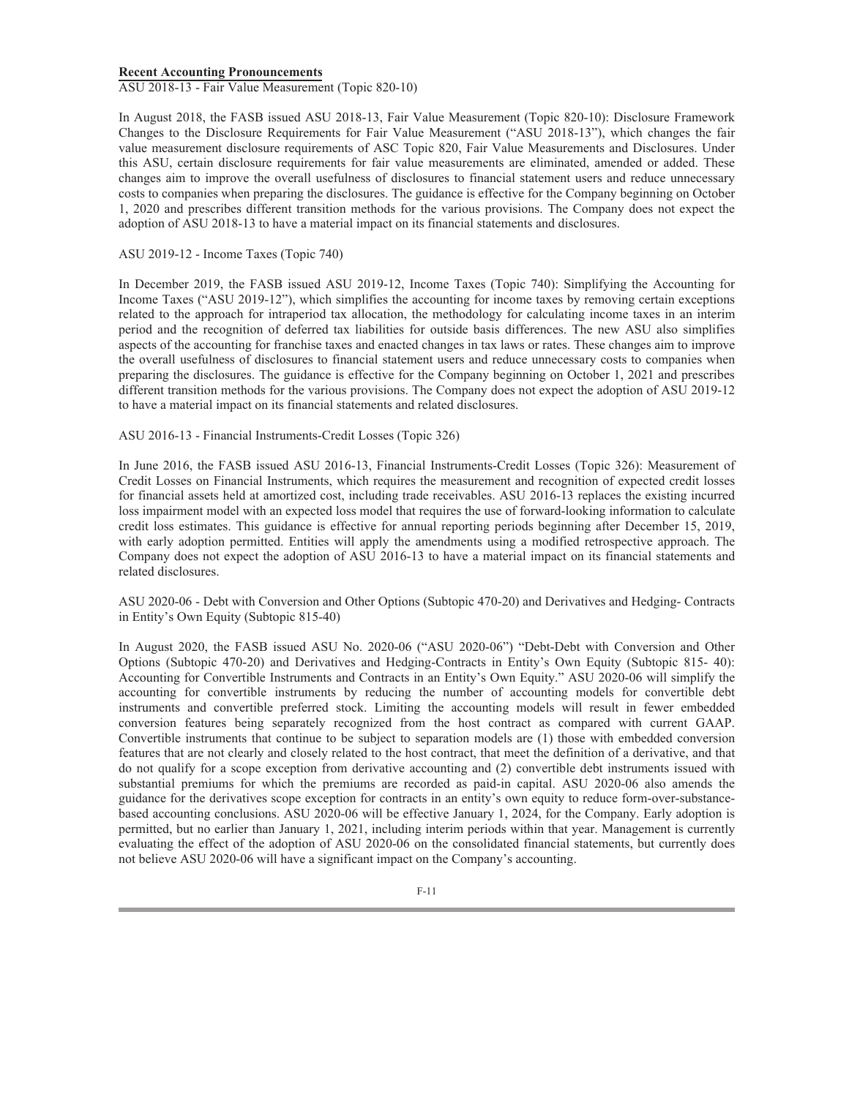#### **Recent Accounting Pronouncements**

ASU 2018-13 - Fair Value Measurement (Topic 820-10)

In August 2018, the FASB issued ASU 2018-13, Fair Value Measurement (Topic 820-10): Disclosure Framework Changes to the Disclosure Requirements for Fair Value Measurement ("ASU 2018-13"), which changes the fair value measurement disclosure requirements of ASC Topic 820, Fair Value Measurements and Disclosures. Under this ASU, certain disclosure requirements for fair value measurements are eliminated, amended or added. These changes aim to improve the overall usefulness of disclosures to financial statement users and reduce unnecessary costs to companies when preparing the disclosures. The guidance is effective for the Company beginning on October 1, 2020 and prescribes different transition methods for the various provisions. The Company does not expect the adoption of ASU 2018-13 to have a material impact on its financial statements and disclosures.

#### ASU 2019-12 - Income Taxes (Topic 740)

In December 2019, the FASB issued ASU 2019-12, Income Taxes (Topic 740): Simplifying the Accounting for Income Taxes ("ASU 2019-12"), which simplifies the accounting for income taxes by removing certain exceptions related to the approach for intraperiod tax allocation, the methodology for calculating income taxes in an interim period and the recognition of deferred tax liabilities for outside basis differences. The new ASU also simplifies aspects of the accounting for franchise taxes and enacted changes in tax laws or rates. These changes aim to improve the overall usefulness of disclosures to financial statement users and reduce unnecessary costs to companies when preparing the disclosures. The guidance is effective for the Company beginning on October 1, 2021 and prescribes different transition methods for the various provisions. The Company does not expect the adoption of ASU 2019-12 to have a material impact on its financial statements and related disclosures.

### ASU 2016-13 - Financial Instruments-Credit Losses (Topic 326)

In June 2016, the FASB issued ASU 2016-13, Financial Instruments-Credit Losses (Topic 326): Measurement of Credit Losses on Financial Instruments, which requires the measurement and recognition of expected credit losses for financial assets held at amortized cost, including trade receivables. ASU 2016-13 replaces the existing incurred loss impairment model with an expected loss model that requires the use of forward-looking information to calculate credit loss estimates. This guidance is effective for annual reporting periods beginning after December 15, 2019, with early adoption permitted. Entities will apply the amendments using a modified retrospective approach. The Company does not expect the adoption of ASU 2016-13 to have a material impact on its financial statements and related disclosures.

ASU 2020-06 - Debt with Conversion and Other Options (Subtopic 470-20) and Derivatives and Hedging- Contracts in Entity's Own Equity (Subtopic 815-40)

In August 2020, the FASB issued ASU No. 2020-06 ("ASU 2020-06") "Debt-Debt with Conversion and Other Options (Subtopic 470-20) and Derivatives and Hedging-Contracts in Entity's Own Equity (Subtopic 815- 40): Accounting for Convertible Instruments and Contracts in an Entity's Own Equity." ASU 2020-06 will simplify the accounting for convertible instruments by reducing the number of accounting models for convertible debt instruments and convertible preferred stock. Limiting the accounting models will result in fewer embedded conversion features being separately recognized from the host contract as compared with current GAAP. Convertible instruments that continue to be subject to separation models are (1) those with embedded conversion features that are not clearly and closely related to the host contract, that meet the definition of a derivative, and that do not qualify for a scope exception from derivative accounting and (2) convertible debt instruments issued with substantial premiums for which the premiums are recorded as paid-in capital. ASU 2020-06 also amends the guidance for the derivatives scope exception for contracts in an entity's own equity to reduce form-over-substancebased accounting conclusions. ASU 2020-06 will be effective January 1, 2024, for the Company. Early adoption is permitted, but no earlier than January 1, 2021, including interim periods within that year. Management is currently evaluating the effect of the adoption of ASU 2020-06 on the consolidated financial statements, but currently does not believe ASU 2020-06 will have a significant impact on the Company's accounting.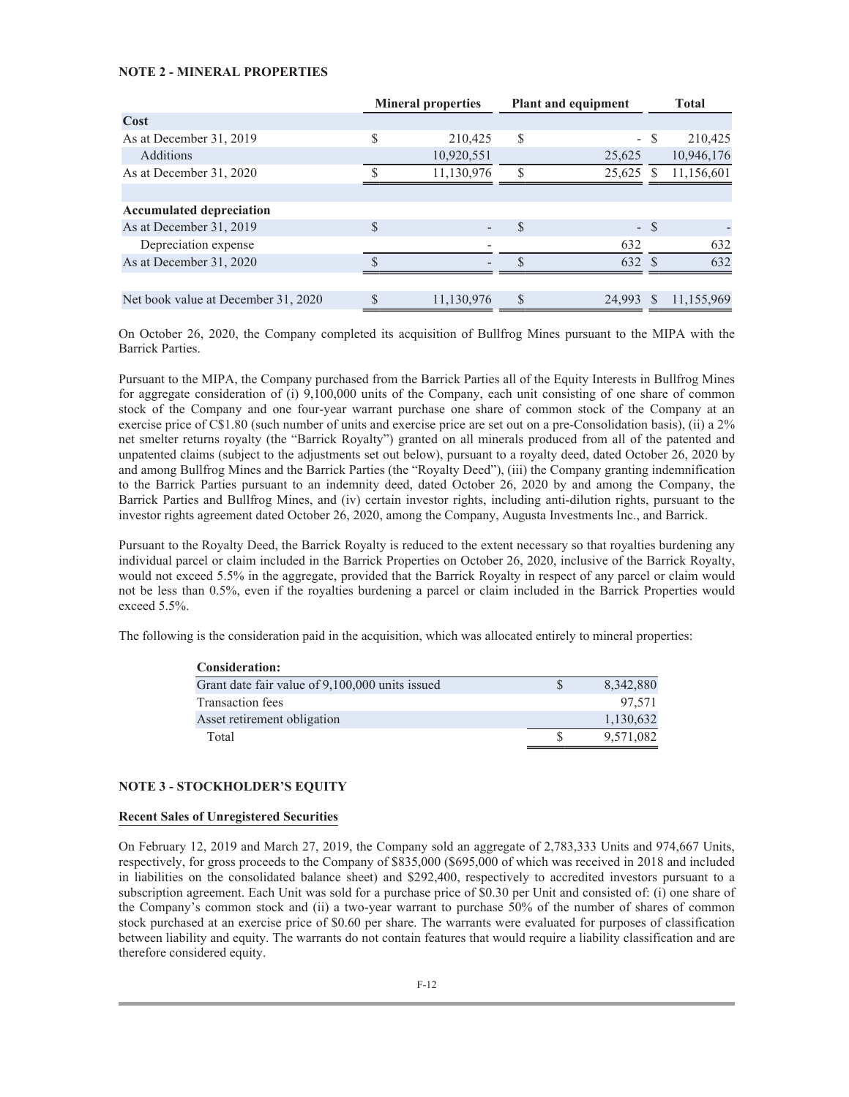## **NOTE 2 - MINERAL PROPERTIES**

|                                     | <b>Mineral properties</b> |               | <b>Plant and equipment</b> |        | <b>Total</b> |
|-------------------------------------|---------------------------|---------------|----------------------------|--------|--------------|
| Cost                                |                           |               |                            |        |              |
| As at December 31, 2019             | \$<br>210,425             | S             |                            | - \$   | 210,425      |
| <b>Additions</b>                    | 10,920,551                |               | 25,625                     |        | 10,946,176   |
| As at December 31, 2020             | 11,130,976                | <sup>\$</sup> | 25,625                     |        | 11,156,601   |
|                                     |                           |               |                            |        |              |
| <b>Accumulated depreciation</b>     |                           |               |                            |        |              |
| As at December 31, 2019             | \$                        | S.            |                            | $-$ \$ |              |
| Depreciation expense                |                           |               | 632                        |        | 632          |
| As at December 31, 2020             |                           |               | 632                        |        | 632          |
|                                     |                           |               |                            |        |              |
| Net book value at December 31, 2020 | 11,130,976                | <sup>\$</sup> | 24.993                     |        | 11.155.969   |

On October 26, 2020, the Company completed its acquisition of Bullfrog Mines pursuant to the MIPA with the Barrick Parties.

Pursuant to the MIPA, the Company purchased from the Barrick Parties all of the Equity Interests in Bullfrog Mines for aggregate consideration of (i) 9,100,000 units of the Company, each unit consisting of one share of common stock of the Company and one four-year warrant purchase one share of common stock of the Company at an exercise price of C\$1.80 (such number of units and exercise price are set out on a pre-Consolidation basis), (ii) a 2% net smelter returns royalty (the "Barrick Royalty") granted on all minerals produced from all of the patented and unpatented claims (subject to the adjustments set out below), pursuant to a royalty deed, dated October 26, 2020 by and among Bullfrog Mines and the Barrick Parties (the "Royalty Deed"), (iii) the Company granting indemnification to the Barrick Parties pursuant to an indemnity deed, dated October 26, 2020 by and among the Company, the Barrick Parties and Bullfrog Mines, and (iv) certain investor rights, including anti-dilution rights, pursuant to the investor rights agreement dated October 26, 2020, among the Company, Augusta Investments Inc., and Barrick.

Pursuant to the Royalty Deed, the Barrick Royalty is reduced to the extent necessary so that royalties burdening any individual parcel or claim included in the Barrick Properties on October 26, 2020, inclusive of the Barrick Royalty, would not exceed 5.5% in the aggregate, provided that the Barrick Royalty in respect of any parcel or claim would not be less than 0.5%, even if the royalties burdening a parcel or claim included in the Barrick Properties would exceed 5.5%.

The following is the consideration paid in the acquisition, which was allocated entirely to mineral properties:

| <b>Consideration:</b>                           |           |
|-------------------------------------------------|-----------|
| Grant date fair value of 9,100,000 units issued | 8,342,880 |
| Transaction fees                                | 97.571    |
| Asset retirement obligation                     | 1,130,632 |
| Total                                           | 9,571,082 |

## **NOTE 3 - STOCKHOLDER'S EQUITY**

### **Recent Sales of Unregistered Securities**

On February 12, 2019 and March 27, 2019, the Company sold an aggregate of 2,783,333 Units and 974,667 Units, respectively, for gross proceeds to the Company of \$835,000 (\$695,000 of which was received in 2018 and included in liabilities on the consolidated balance sheet) and \$292,400, respectively to accredited investors pursuant to a subscription agreement. Each Unit was sold for a purchase price of \$0.30 per Unit and consisted of: (i) one share of the Company's common stock and (ii) a two-year warrant to purchase 50% of the number of shares of common stock purchased at an exercise price of \$0.60 per share. The warrants were evaluated for purposes of classification between liability and equity. The warrants do not contain features that would require a liability classification and are therefore considered equity.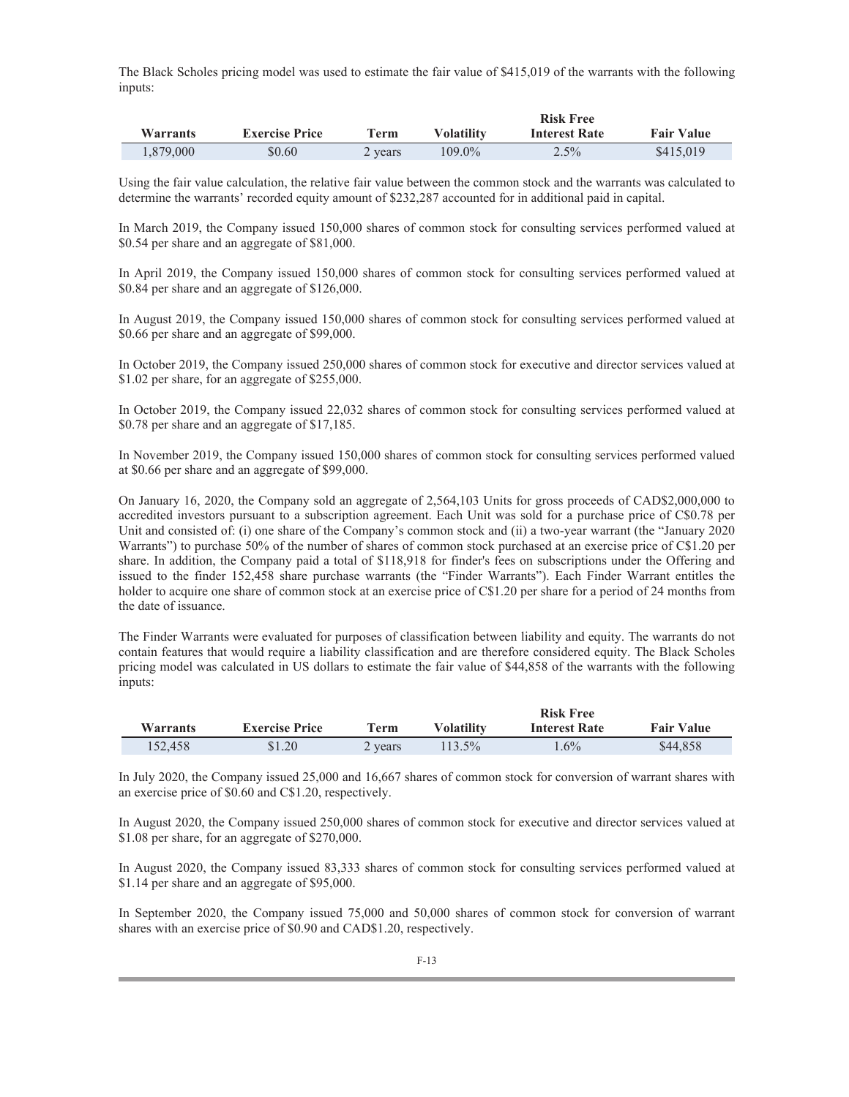The Black Scholes pricing model was used to estimate the fair value of \$415,019 of the warrants with the following inputs:

|                 |                       |         | <b>Risk Free</b> |                      |                   |
|-----------------|-----------------------|---------|------------------|----------------------|-------------------|
| <b>Warrants</b> | <b>Exercise Price</b> | Term    | Volatilitv       | <b>Interest Rate</b> | <b>Fair Value</b> |
| .879.000        | \$0.60                | 2 years | 109.0%           | $2.5\%$              | \$415,019         |

Using the fair value calculation, the relative fair value between the common stock and the warrants was calculated to determine the warrants' recorded equity amount of \$232,287 accounted for in additional paid in capital.

In March 2019, the Company issued 150,000 shares of common stock for consulting services performed valued at \$0.54 per share and an aggregate of \$81,000.

In April 2019, the Company issued 150,000 shares of common stock for consulting services performed valued at \$0.84 per share and an aggregate of \$126,000.

In August 2019, the Company issued 150,000 shares of common stock for consulting services performed valued at \$0.66 per share and an aggregate of \$99,000.

In October 2019, the Company issued 250,000 shares of common stock for executive and director services valued at \$1.02 per share, for an aggregate of \$255,000.

In October 2019, the Company issued 22,032 shares of common stock for consulting services performed valued at \$0.78 per share and an aggregate of \$17,185.

In November 2019, the Company issued 150,000 shares of common stock for consulting services performed valued at \$0.66 per share and an aggregate of \$99,000.

On January 16, 2020, the Company sold an aggregate of 2,564,103 Units for gross proceeds of CAD\$2,000,000 to accredited investors pursuant to a subscription agreement. Each Unit was sold for a purchase price of C\$0.78 per Unit and consisted of: (i) one share of the Company's common stock and (ii) a two-year warrant (the "January 2020 Warrants") to purchase 50% of the number of shares of common stock purchased at an exercise price of C\$1.20 per share. In addition, the Company paid a total of \$118,918 for finder's fees on subscriptions under the Offering and issued to the finder 152,458 share purchase warrants (the "Finder Warrants"). Each Finder Warrant entitles the holder to acquire one share of common stock at an exercise price of C\$1.20 per share for a period of 24 months from the date of issuance.

The Finder Warrants were evaluated for purposes of classification between liability and equity. The warrants do not contain features that would require a liability classification and are therefore considered equity. The Black Scholes pricing model was calculated in US dollars to estimate the fair value of \$44,858 of the warrants with the following inputs:

|          |                       |         | <b>Risk Free</b>  |                      |                   |
|----------|-----------------------|---------|-------------------|----------------------|-------------------|
| Warrants | <b>Exercise Price</b> | Term    | <b>Volatility</b> | <b>Interest Rate</b> | <b>Fair Value</b> |
| 152.458  | \$1.20                | 2 years | $113.5\%$         | $1.6\%$              | \$44,858          |

In July 2020, the Company issued 25,000 and 16,667 shares of common stock for conversion of warrant shares with an exercise price of \$0.60 and C\$1.20, respectively.

In August 2020, the Company issued 250,000 shares of common stock for executive and director services valued at \$1.08 per share, for an aggregate of \$270,000.

In August 2020, the Company issued 83,333 shares of common stock for consulting services performed valued at \$1.14 per share and an aggregate of \$95,000.

In September 2020, the Company issued 75,000 and 50,000 shares of common stock for conversion of warrant shares with an exercise price of \$0.90 and CAD\$1.20, respectively.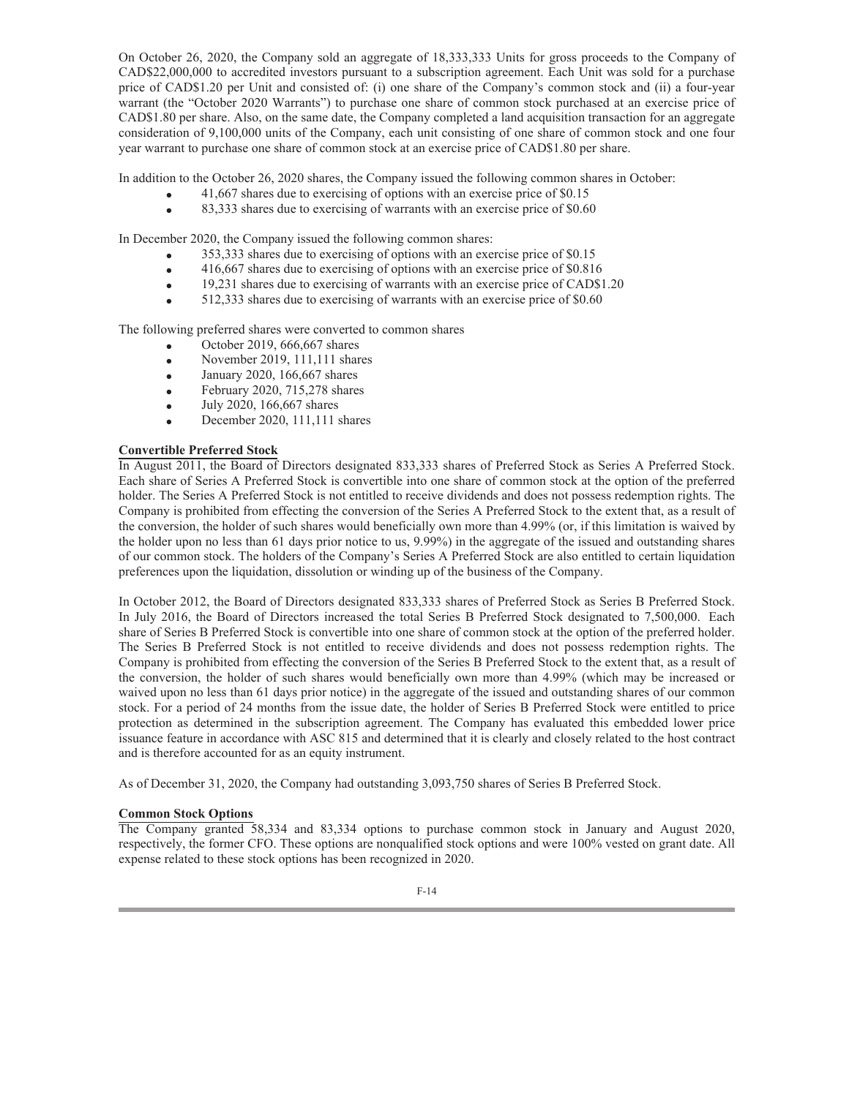On October 26, 2020, the Company sold an aggregate of 18,333,333 Units for gross proceeds to the Company of CAD\$22,000,000 to accredited investors pursuant to a subscription agreement. Each Unit was sold for a purchase price of CAD\$1.20 per Unit and consisted of: (i) one share of the Company's common stock and (ii) a four-year warrant (the "October 2020 Warrants") to purchase one share of common stock purchased at an exercise price of CAD\$1.80 per share. Also, on the same date, the Company completed a land acquisition transaction for an aggregate consideration of 9,100,000 units of the Company, each unit consisting of one share of common stock and one four year warrant to purchase one share of common stock at an exercise price of CAD\$1.80 per share.

In addition to the October 26, 2020 shares, the Company issued the following common shares in October:

- 41,667 shares due to exercising of options with an exercise price of \$0.15  $\bullet$
- 83,333 shares due to exercising of warrants with an exercise price of \$0.60  $\bullet$

In December 2020, the Company issued the following common shares:

- 353,333 shares due to exercising of options with an exercise price of \$0.15  $\bullet$
- 416,667 shares due to exercising of options with an exercise price of \$0.816  $\bullet$
- 19,231 shares due to exercising of warrants with an exercise price of CAD\$1.20  $\bullet$
- 512,333 shares due to exercising of warrants with an exercise price of \$0.60  $\bullet$

The following preferred shares were converted to common shares

- October 2019, 666,667 shares  $\bullet$
- November 2019, 111,111 shares  $\bullet$
- January 2020, 166,667 shares  $\bullet$
- February 2020, 715,278 shares  $\bullet$
- July 2020, 166,667 shares  $\bullet$
- December 2020, 111,111 shares  $\bullet$

# **Convertible Preferred Stock**

In August 2011, the Board of Directors designated 833,333 shares of Preferred Stock as Series A Preferred Stock. Each share of Series A Preferred Stock is convertible into one share of common stock at the option of the preferred holder. The Series A Preferred Stock is not entitled to receive dividends and does not possess redemption rights. The Company is prohibited from effecting the conversion of the Series A Preferred Stock to the extent that, as a result of the conversion, the holder of such shares would beneficially own more than 4.99% (or, if this limitation is waived by the holder upon no less than 61 days prior notice to us, 9.99%) in the aggregate of the issued and outstanding shares of our common stock. The holders of the Company's Series A Preferred Stock are also entitled to certain liquidation preferences upon the liquidation, dissolution or winding up of the business of the Company.

In October 2012, the Board of Directors designated 833,333 shares of Preferred Stock as Series B Preferred Stock. In July 2016, the Board of Directors increased the total Series B Preferred Stock designated to 7,500,000. Each share of Series B Preferred Stock is convertible into one share of common stock at the option of the preferred holder. The Series B Preferred Stock is not entitled to receive dividends and does not possess redemption rights. The Company is prohibited from effecting the conversion of the Series B Preferred Stock to the extent that, as a result of the conversion, the holder of such shares would beneficially own more than 4.99% (which may be increased or waived upon no less than 61 days prior notice) in the aggregate of the issued and outstanding shares of our common stock. For a period of 24 months from the issue date, the holder of Series B Preferred Stock were entitled to price protection as determined in the subscription agreement. The Company has evaluated this embedded lower price issuance feature in accordance with ASC 815 and determined that it is clearly and closely related to the host contract and is therefore accounted for as an equity instrument.

As of December 31, 2020, the Company had outstanding 3,093,750 shares of Series B Preferred Stock.

### **Common Stock Options**

The Company granted 58,334 and 83,334 options to purchase common stock in January and August 2020, respectively, the former CFO. These options are nonqualified stock options and were 100% vested on grant date. All expense related to these stock options has been recognized in 2020.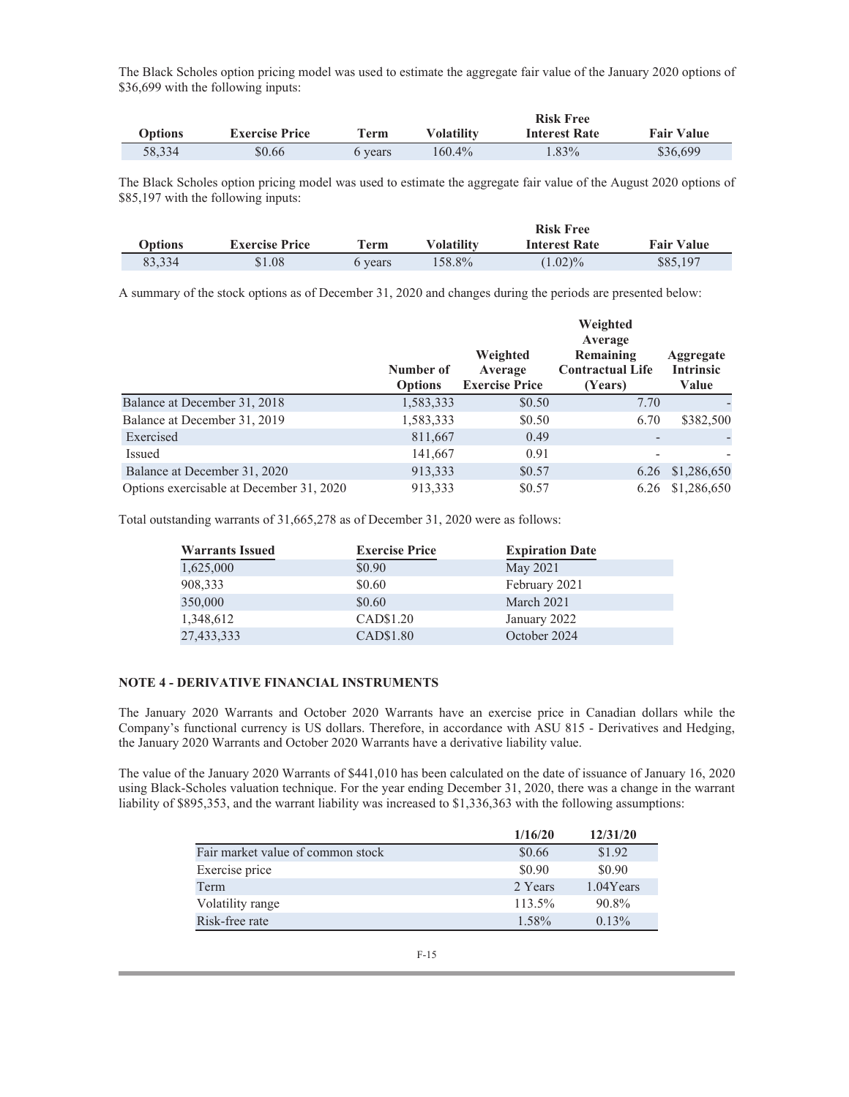The Black Scholes option pricing model was used to estimate the aggregate fair value of the January 2020 options of \$36,699 with the following inputs:

|                |                       |         |                   | <b>Risk Free</b>     |                   |
|----------------|-----------------------|---------|-------------------|----------------------|-------------------|
| <b>Options</b> | <b>Exercise Price</b> | Term    | <b>Volatility</b> | <b>Interest Rate</b> | <b>Fair Value</b> |
| 58.334         | \$0.66                | 6 vears | 160.4%            | 1.83%                | \$36,699          |

The Black Scholes option pricing model was used to estimate the aggregate fair value of the August 2020 options of \$85,197 with the following inputs:

|         |                       |              |                   | <b>Risk Free</b>     |                   |
|---------|-----------------------|--------------|-------------------|----------------------|-------------------|
| Options | <b>Exercise Price</b> | ${\bf Term}$ | <b>Volatility</b> | <b>Interest Rate</b> | <b>Fair Value</b> |
| 83.334  | \$1.08                | 6 years      | 158.8%            | $(1.02)\%$           | \$85,197          |

A summary of the stock options as of December 31, 2020 and changes during the periods are presented below:

|                                          | Number of<br><b>Options</b> | Weighted<br>Average<br><b>Exercise Price</b> | Weighted<br>Average<br>Remaining<br><b>Contractual Life</b><br>(Years) | <b>Aggregate</b><br><b>Intrinsic</b><br>Value |
|------------------------------------------|-----------------------------|----------------------------------------------|------------------------------------------------------------------------|-----------------------------------------------|
| Balance at December 31, 2018             | 1,583,333                   | \$0.50                                       | 7.70                                                                   |                                               |
| Balance at December 31, 2019             | 1,583,333                   | \$0.50                                       | 6.70                                                                   | \$382,500                                     |
| Exercised                                | 811,667                     | 0.49                                         |                                                                        |                                               |
| Issued                                   | 141,667                     | 0.91                                         |                                                                        |                                               |
| Balance at December 31, 2020             | 913,333                     | \$0.57                                       | 6.26                                                                   | \$1,286,650                                   |
| Options exercisable at December 31, 2020 | 913,333                     | \$0.57                                       | 6.26                                                                   | \$1,286,650                                   |

Total outstanding warrants of 31,665,278 as of December 31, 2020 were as follows:

| <b>Warrants Issued</b> | <b>Exercise Price</b> | <b>Expiration Date</b> |
|------------------------|-----------------------|------------------------|
| 1,625,000              | \$0.90                | May 2021               |
| 908,333                | \$0.60                | February 2021          |
| 350,000                | \$0.60                | March 2021             |
| 1,348,612              | CAD\$1.20             | January 2022           |
| 27,433,333             | CAD\$1.80             | October 2024           |

# **NOTE 4 - DERIVATIVE FINANCIAL INSTRUMENTS**

The January 2020 Warrants and October 2020 Warrants have an exercise price in Canadian dollars while the Company's functional currency is US dollars. Therefore, in accordance with ASU 815 - Derivatives and Hedging, the January 2020 Warrants and October 2020 Warrants have a derivative liability value.

The value of the January 2020 Warrants of \$441,010 has been calculated on the date of issuance of January 16, 2020 using Black-Scholes valuation technique. For the year ending December 31, 2020, there was a change in the warrant liability of \$895,353, and the warrant liability was increased to \$1,336,363 with the following assumptions:

|                                   | 1/16/20 | 12/31/20  |
|-----------------------------------|---------|-----------|
| Fair market value of common stock | \$0.66  | \$1.92    |
| Exercise price                    | \$0.90  | \$0.90    |
| Term                              | 2 Years | 1.04Years |
| Volatility range                  | 113.5%  | 90.8%     |
| Risk-free rate                    | 1.58%   | $0.13\%$  |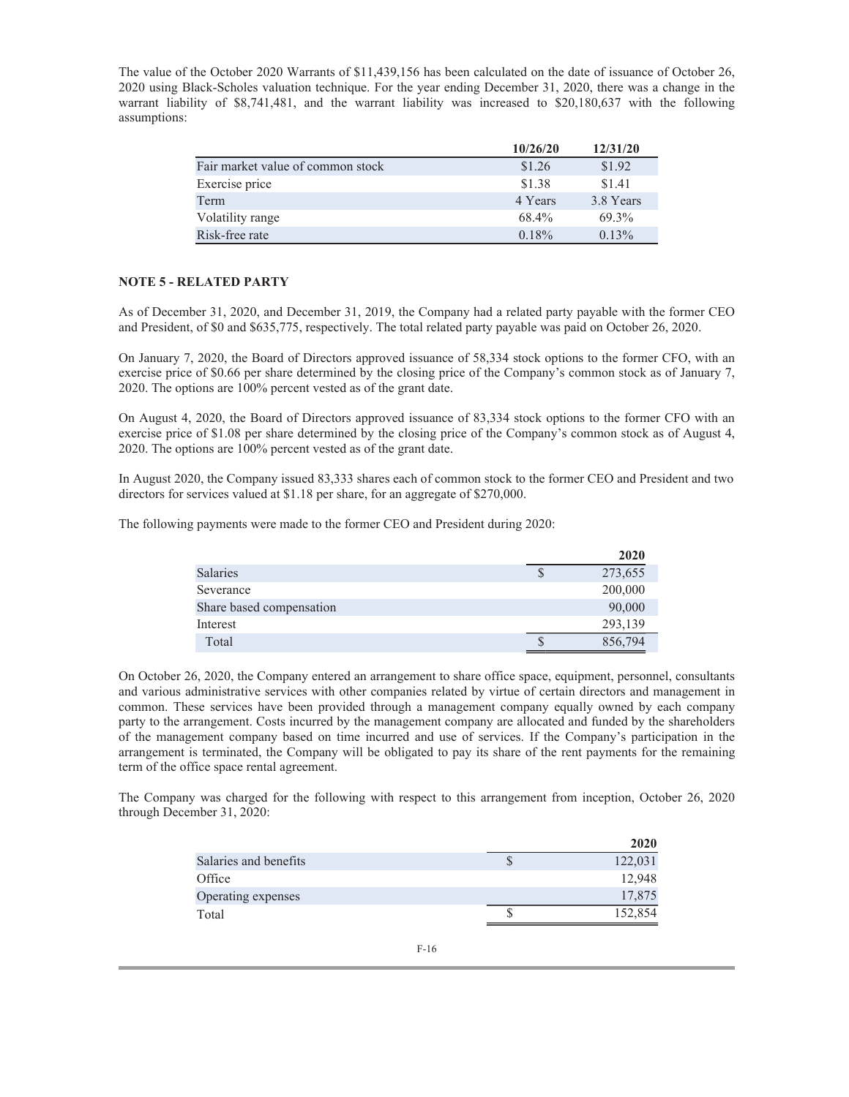The value of the October 2020 Warrants of \$11,439,156 has been calculated on the date of issuance of October 26, 2020 using Black-Scholes valuation technique. For the year ending December 31, 2020, there was a change in the warrant liability of \$8,741,481, and the warrant liability was increased to \$20,180,637 with the following assumptions:

|                                   | 10/26/20 | 12/31/20  |
|-----------------------------------|----------|-----------|
| Fair market value of common stock | \$1.26   | \$1.92    |
| Exercise price                    | \$1.38   | \$1.41    |
| Term                              | 4 Years  | 3.8 Years |
| Volatility range                  | 68.4%    | 69.3%     |
| Risk-free rate                    | 0.18%    | $0.13\%$  |

## **NOTE 5 - RELATED PARTY**

As of December 31, 2020, and December 31, 2019, the Company had a related party payable with the former CEO and President, of \$0 and \$635,775, respectively. The total related party payable was paid on October 26, 2020.

On January 7, 2020, the Board of Directors approved issuance of 58,334 stock options to the former CFO, with an exercise price of \$0.66 per share determined by the closing price of the Company's common stock as of January 7, 2020. The options are 100% percent vested as of the grant date.

On August 4, 2020, the Board of Directors approved issuance of 83,334 stock options to the former CFO with an exercise price of \$1.08 per share determined by the closing price of the Company's common stock as of August 4, 2020. The options are 100% percent vested as of the grant date.

In August 2020, the Company issued 83,333 shares each of common stock to the former CEO and President and two directors for services valued at \$1.18 per share, for an aggregate of \$270,000.

The following payments were made to the former CEO and President during 2020:

|                          | 2020    |
|--------------------------|---------|
| Salaries                 | 273,655 |
| Severance                | 200,000 |
| Share based compensation | 90,000  |
| Interest                 | 293,139 |
| Total                    | 856,794 |

On October 26, 2020, the Company entered an arrangement to share office space, equipment, personnel, consultants and various administrative services with other companies related by virtue of certain directors and management in common. These services have been provided through a management company equally owned by each company party to the arrangement. Costs incurred by the management company are allocated and funded by the shareholders of the management company based on time incurred and use of services. If the Company's participation in the arrangement is terminated, the Company will be obligated to pay its share of the rent payments for the remaining term of the office space rental agreement.

The Company was charged for the following with respect to this arrangement from inception, October 26, 2020 through December 31, 2020:

|                       |   | 2020    |
|-----------------------|---|---------|
| Salaries and benefits | S | 122,031 |
| Office                |   | 12,948  |
| Operating expenses    |   | 17,875  |
| Total                 |   | 152,854 |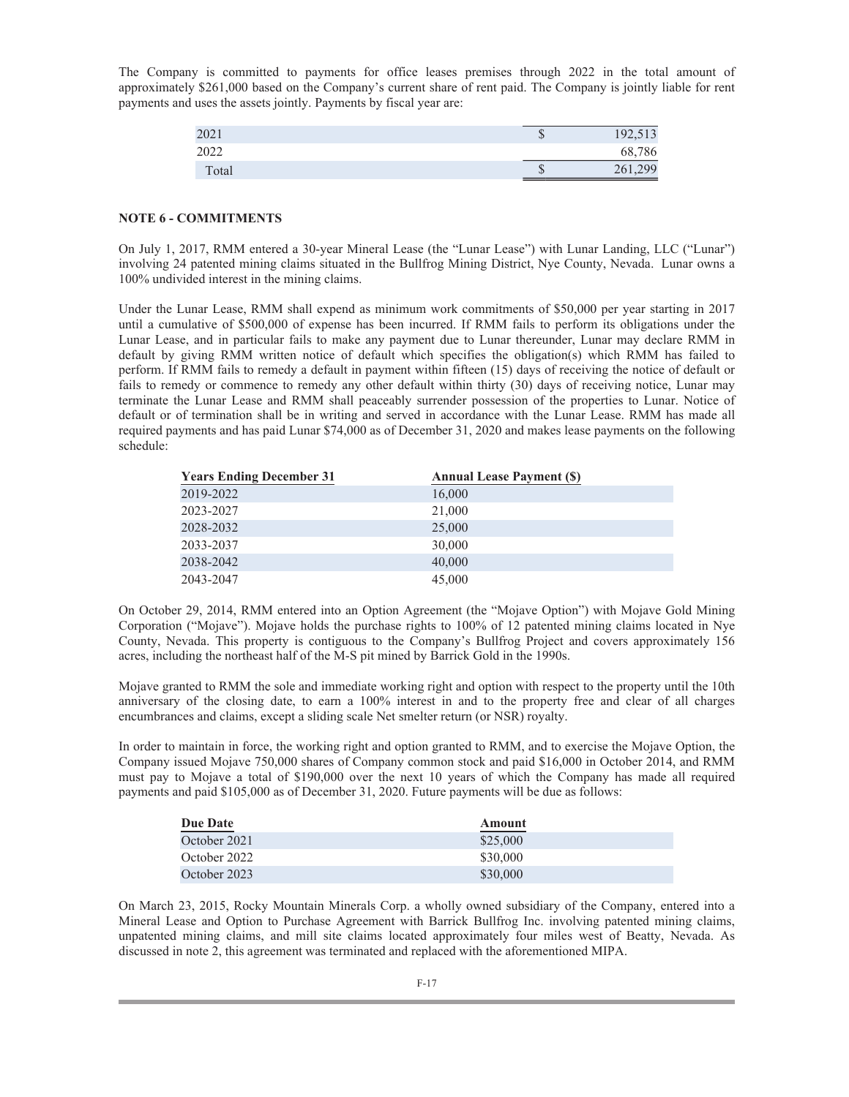The Company is committed to payments for office leases premises through 2022 in the total amount of approximately \$261,000 based on the Company's current share of rent paid. The Company is jointly liable for rent payments and uses the assets jointly. Payments by fiscal year are:

| 2021  | 192,513 |
|-------|---------|
| 2022  | 68,786  |
| Total | 261,299 |

## **NOTE 6 - COMMITMENTS**

On July 1, 2017, RMM entered a 30-year Mineral Lease (the "Lunar Lease") with Lunar Landing, LLC ("Lunar") involving 24 patented mining claims situated in the Bullfrog Mining District, Nye County, Nevada. Lunar owns a 100% undivided interest in the mining claims.

Under the Lunar Lease, RMM shall expend as minimum work commitments of \$50,000 per year starting in 2017 until a cumulative of \$500,000 of expense has been incurred. If RMM fails to perform its obligations under the Lunar Lease, and in particular fails to make any payment due to Lunar thereunder, Lunar may declare RMM in default by giving RMM written notice of default which specifies the obligation(s) which RMM has failed to perform. If RMM fails to remedy a default in payment within fifteen (15) days of receiving the notice of default or fails to remedy or commence to remedy any other default within thirty (30) days of receiving notice, Lunar may terminate the Lunar Lease and RMM shall peaceably surrender possession of the properties to Lunar. Notice of default or of termination shall be in writing and served in accordance with the Lunar Lease. RMM has made all required payments and has paid Lunar \$74,000 as of December 31, 2020 and makes lease payments on the following schedule:

| <b>Years Ending December 31</b> | <b>Annual Lease Payment (\$)</b> |
|---------------------------------|----------------------------------|
| 2019-2022                       | 16,000                           |
| 2023-2027                       | 21,000                           |
| 2028-2032                       | 25,000                           |
| 2033-2037                       | 30,000                           |
| 2038-2042                       | 40,000                           |
| 2043-2047                       | 45,000                           |

On October 29, 2014, RMM entered into an Option Agreement (the "Mojave Option") with Mojave Gold Mining Corporation ("Mojave"). Mojave holds the purchase rights to 100% of 12 patented mining claims located in Nye County, Nevada. This property is contiguous to the Company's Bullfrog Project and covers approximately 156 acres, including the northeast half of the M-S pit mined by Barrick Gold in the 1990s.

Mojave granted to RMM the sole and immediate working right and option with respect to the property until the 10th anniversary of the closing date, to earn a 100% interest in and to the property free and clear of all charges encumbrances and claims, except a sliding scale Net smelter return (or NSR) royalty.

In order to maintain in force, the working right and option granted to RMM, and to exercise the Mojave Option, the Company issued Mojave 750,000 shares of Company common stock and paid \$16,000 in October 2014, and RMM must pay to Mojave a total of \$190,000 over the next 10 years of which the Company has made all required payments and paid \$105,000 as of December 31, 2020. Future payments will be due as follows:

| Due Date     | Amount   |
|--------------|----------|
| October 2021 | \$25,000 |
| October 2022 | \$30,000 |
| October 2023 | \$30,000 |

On March 23, 2015, Rocky Mountain Minerals Corp. a wholly owned subsidiary of the Company, entered into a Mineral Lease and Option to Purchase Agreement with Barrick Bullfrog Inc. involving patented mining claims, unpatented mining claims, and mill site claims located approximately four miles west of Beatty, Nevada. As discussed in note 2, this agreement was terminated and replaced with the aforementioned MIPA.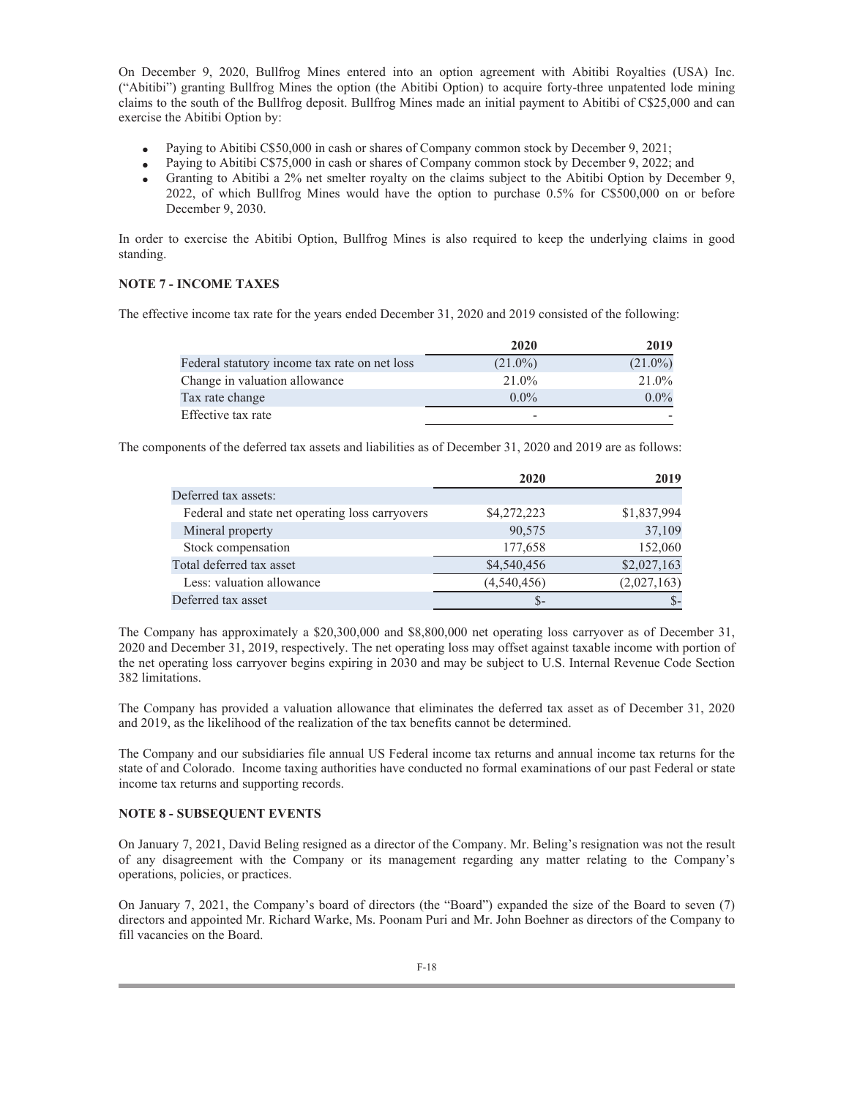On December 9, 2020, Bullfrog Mines entered into an option agreement with Abitibi Royalties (USA) Inc. ("Abitibi") granting Bullfrog Mines the option (the Abitibi Option) to acquire forty-three unpatented lode mining claims to the south of the Bullfrog deposit. Bullfrog Mines made an initial payment to Abitibi of C\$25,000 and can exercise the Abitibi Option by:

- Paying to Abitibi C\$50,000 in cash or shares of Company common stock by December 9, 2021;  $\bullet$
- Paying to Abitibi C\$75,000 in cash or shares of Company common stock by December 9, 2022; and  $\bullet$
- Granting to Abitibi a 2% net smelter royalty on the claims subject to the Abitibi Option by December 9, 2022, of which Bullfrog Mines would have the option to purchase 0.5% for C\$500,000 on or before December 9, 2030.  $\bullet$

In order to exercise the Abitibi Option, Bullfrog Mines is also required to keep the underlying claims in good standing.

# **NOTE 7 - INCOME TAXES**

The effective income tax rate for the years ended December 31, 2020 and 2019 consisted of the following:

|                                               | 2020       | 2019       |
|-----------------------------------------------|------------|------------|
| Federal statutory income tax rate on net loss | $(21.0\%)$ | $(21.0\%)$ |
| Change in valuation allowance                 | $21.0\%$   | 21.0%      |
| Tax rate change                               | $0.0\%$    | $0.0\%$    |
| Effective tax rate                            |            |            |

The components of the deferred tax assets and liabilities as of December 31, 2020 and 2019 are as follows:

|                                                 | 2020        | 2019        |
|-------------------------------------------------|-------------|-------------|
| Deferred tax assets:                            |             |             |
| Federal and state net operating loss carryovers | \$4,272,223 | \$1,837,994 |
| Mineral property                                | 90,575      | 37,109      |
| Stock compensation                              | 177,658     | 152,060     |
| Total deferred tax asset                        | \$4,540,456 | \$2,027,163 |
| Less: valuation allowance                       | (4,540,456) | (2,027,163) |
| Deferred tax asset                              | $S-$        |             |

The Company has approximately a \$20,300,000 and \$8,800,000 net operating loss carryover as of December 31, 2020 and December 31, 2019, respectively. The net operating loss may offset against taxable income with portion of the net operating loss carryover begins expiring in 2030 and may be subject to U.S. Internal Revenue Code Section 382 limitations.

The Company has provided a valuation allowance that eliminates the deferred tax asset as of December 31, 2020 and 2019, as the likelihood of the realization of the tax benefits cannot be determined.

The Company and our subsidiaries file annual US Federal income tax returns and annual income tax returns for the state of and Colorado. Income taxing authorities have conducted no formal examinations of our past Federal or state income tax returns and supporting records.

## **NOTE 8 - SUBSEQUENT EVENTS**

On January 7, 2021, David Beling resigned as a director of the Company. Mr. Beling's resignation was not the result of any disagreement with the Company or its management regarding any matter relating to the Company's operations, policies, or practices.

On January 7, 2021, the Company's board of directors (the "Board") expanded the size of the Board to seven (7) directors and appointed Mr. Richard Warke, Ms. Poonam Puri and Mr. John Boehner as directors of the Company to fill vacancies on the Board.